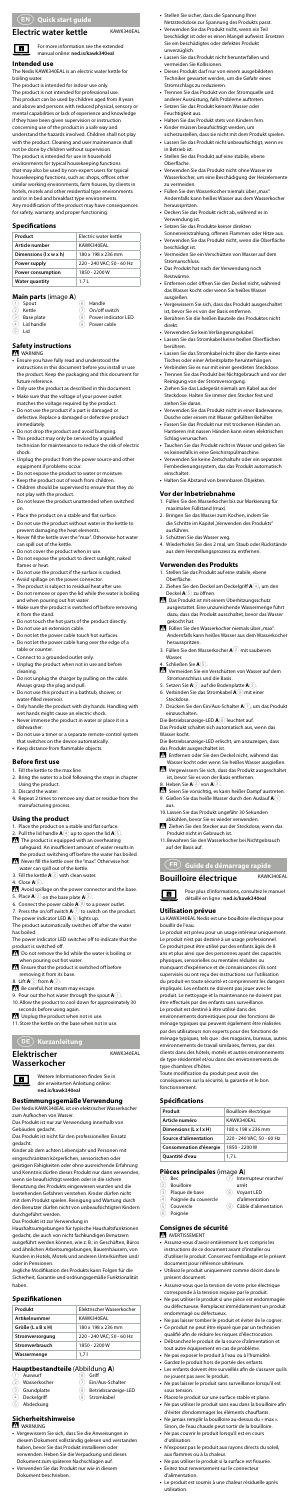#### **Electric water kettle** KAWK340EAL

For more information see the extended manual online: **ned.is/kawk340eal**

The Nedis KAWK340EAL is an electric water kettle for boiling water.

#### **Intended use**

 $\blacksquare$ 

The product is intended for indoor use only.

The product is not intended for professional use. This product can be used by children aged from 8 years and above and persons with reduced physical, sensory or mental capabilities or lack of experience and knowledge if they have been given supervision or instruction concerning use of the product in a safe way and understand the hazards involved. Children shall not play with the product. Cleaning and user maintenance shall not be done by children without supervision.

The product is intended for use in household

6 Handle On/off switch

- **Base plate**
- Power indicator LED
- 9 Power cable
- $\overline{4}$  Lid handle  $(5)$  Lid
- 
- 

environments for typical housekeeping functions that may also be used by non-expert users for typical housekeeping functions, such as: shops, offices other similar working environments, farm houses, by clients in hotels, motels and other residential type environments and/or in bed and breakfast type environments. Any modification of the product may have consequences for safety, warranty and proper functioning.

#### **Specifications**

| Product                | <b>Electric water kettle</b> |
|------------------------|------------------------------|
| Article number         | KAWK340EAL                   |
| Dimensions (I x w x h) | 180 x 198 x 236 mm           |
| Power supply           | 220 - 240 VAC: 50 - 60 Hz    |
| Power consumption      | 1850 - 2200 W                |
| <b>Water quantity</b>  | 171                          |

#### **Main parts** (image **A**)

Spo **Kettle** 

#### **Safety instructions**

#### **M** WARNING

- 1. Fill the kettle to the max line. 2. Bring the water to a boil following the steps in chapter Using the product.
- Discard the water.

- 
- 1. Place the product on a stable and flat surface. 2. Pull the lid handle **A**4 up to open the lid **A**5.
- The product is equipped with an overheating safeguard. An insufficient amount of water results in
- the product switching off before the water has boiled. Never fill the kettle over the "max". Otherwise hot
- water can spill out of the kettle.<br>3. Fill the kettle **A** 2 with clean water.
- 4. Close **A**5.
- 
- Avoid spillage on the power connector and the base. 5. Place **A**2 on the base plate **A**3.
- 6. Connect the power cable  $\mathbf{A} \textcircled{9}$  to a power outlet.

- Do not remove the lid while the water is boiling or when pouring out hot water.
- -Ensure that the product is switched off before
- removing it from its base. 8. Lift **A**2 from **A**3.
- Be careful, hot steam may escape.
- 9. Pour out the hot water through the spout **A**1.
- 10.Allow the product to cool down for approximately 30 seconds before using again.

- **•** Ensure you have fully read and understood the instructions in this document before you install or use
- the product. Keep the packaging and this document for future reference. **•** Only use the product as described in this document.
- **•** Make sure that the voltage of your power outlet
- matches the voltage required by the product. **•** Do not use the product if a part is damaged or defective. Replace a damaged or defective product immediately.
- **•** Do not drop the product and avoid bumping. **•** This product may only be serviced by a qualified
- technician for maintenance to reduce the risk of electric shock.
- **•** Unplug the product from the power source and other equipment if problems occur.
- **•** Do not expose the product to water or moisture.
- **•** Keep the product out of reach from children. **•** Children should be supervised to ensure that they do
- not play with the product.
- **•** Do not leave the product unattended when switched on.
- **•** Place the product on a stable and flat surface.
- **•** Do not use the product without water in the kettle to prevent damaging the heat elements.
- **•** Never fill the kettle over the "max". Otherwise hot water can spill out of the kettle.
- **•** Do not cover the product when in use.
- **•** Do not expose the product to direct sunlight, naked flames or heat.
- **•** Do not use the product if the surface is cracked.
- **•** Avoid spillage on the power connector.
- **•** The product is subject to residual heat after use. **•** Do not remove or open the lid while the water is boiling and when pouring out hot water.
- **•** Make sure the product is switched off before removing it from the stand.
- **•** Do not touch the hot parts of the product directly.
- **•** Do not use an extension cable.
- **•** Do not let the power cable touch hot surfaces.
- **•** Do not let the power cable hang over the edge of a table or counter.
- **•** Connect to a grounded outlet only.
- **•** Unplug the product when not in use and before cleaning.
- **•** Do not unplug the charger by pulling on the cable. Always grasp the plug and pull.
- **•** Do not use this product in a bathtub, shower, or water-filled reservoir.
- **•** Only handle the product with dry hands. Handling with wet hands might cause an electric shock.
- **•** Never immerse the product in water or place it in a dishwasher.
- **•** Do not use a timer or a separate remote-control system that switches on the device automatically.
- **•** Keep distance from flammable objects.

(1) Auswurf<br>(2) Wasserk 2 Wasserkocher

**Griff** 7 Ein/Aus-Schalter

- 3 Grundplatte
- 
- **Deckelgriff**
- 
- 5 Abdeckung
- 8 Betriebsanzeige-LED
- Stromkabel
- 

#### **Before first use**

4. Repeat 2 times to remove any dust or residue from the manufacturing process.

#### **Using the product**

7. Press the on/off switch **A**7 to switch on the product.

The power indicator LED **A**8 lights up.

The product automatically switches off after the water has boiled.

The power indicator LED switches off to indicate that the product is switched off.

-Unplug the product when not in use. 11.Store the kettle on the base when not in use.

c **Kurzanleitung**

#### **Elektrischer Wasserkocher**



KAWK340EAL

- 3. Füllen Sie den Wasserkocher **A**2 mit sauberem Wasser.
- 4. Schließen Sie **A**5. Vermeiden Sie ein Verschütten von Wasser auf dem

Weitere Informationen finden Sie in der erweiterten Anleitung online: **ned.is/kawk340eal**

## **Bestimmungsgemäße Verwendung** Der Nedis KAWK340EAL ist ein elektrischer Wasserkocher

zum Aufkochen von Wasser.

Das Produkt ist nur zur Verwendung innerhalb von Gebäuden gedacht.

Das Produkt ist nicht für den professionellen Einsatz gedacht.

Kinder ab dem achten Lebensjahr und Personen mit eingeschränkten körperlichen, sensorischen oder geistigen Fähigkeiten oder ohne ausreichende Erfahrung und Kenntnis dürfen dieses Produkt nur dann verwenden, wenn sie beaufsichtigt werden oder in die sichere Benutzung des Produkts eingewiesen wurden und die bestehenden Gefahren verstehen. Kinder dürfen nicht mit dem Produkt spielen. Reinigung und Wartung durch den Benutzer dürfen nicht von unbeaufsichtigten Kindern durchgeführt werden.

- Seien Sie vorsichtig, es kann heißer Dampf austre 9. Gießen Sie das heiße Wasser durch den Auslauf **A**1 aus.
- 10.Lassen Sie das Produkt ungefähr 30 Sekunden abkühlen, bevor Sie es wieder verwenden.
- Ziehen Sie den Stecker aus der Steckdose, wenn das Produkt nicht in Gebrauch ist.
- 11.Bewahren Sie den Wasserkocher bei Nichtgebrauch auf der Basis auf.

Das Produkt ist zur Verwendung in

Haushaltsumgebungen für typische Haushaltsfunktionen gedacht, die auch von nicht fachkundigen Benutzern ausgeführt werden können, wie z. B.: in Geschäften, Büros und ähnlichen Arbeitsumgebungen, Bauernhäusern, von Kunden in Hotels, Motels und anderen Unterkünften und/ oder in Pensionen.

Jegliche Modifikation des Produkts kann Folgen für die Sicherheit, Garantie und ordnungsgemäße Funktionalität haben.

#### **Spezifikationen**

| Produkt              | Flektrischer Wasserkocher |
|----------------------|---------------------------|
| <b>Artikelnummer</b> | KAWK340EAL                |
| Größe (L x B x H)    | 180 x 198 x 236 mm        |
| Stromversorgung      | 220 - 240 VAC: 50 - 60 Hz |
| Stromverbrauch       | 1850 - 2200 W             |
| Wassermenge          | 1.71                      |

- **Bouilloire**
- 3 Plaque de base
- 4 Poignée du couvercle
- **Couvercle**
- 6 Poignée
- 

#### **Hauptbestandteile** (Abbildung **A**)

#### **Consignes de sécurité N** AVERTISSEMENT

#### **Sicherheitshinweise**

WARNUNG

- **•** Vergewissern Sie sich, dass Sie die Anweisungen in diesem Dokument vollständig gelesen und verstanden haben, bevor Sie das Produkt installieren oder verwenden. Heben Sie die Verpackung und dieses
- Dokument zum späteren Nachschlagen auf. **•** Verwenden Sie das Produkt nur wie in diesem Dokument beschrieben.
- **•** Stellen Sie sicher, dass die Spannung Ihrer Netzsteckdose zur Spannung des Produkts passt.
- **•** Verwenden Sie das Produkt nicht, wenn ein Teil beschädigt ist oder es einen Mangel aufweist. Ersetzen Sie ein beschädigtes oder defektes Produkt unverzüglich.
- **•** Lassen Sie das Produkt nicht herunterfallen und vermeiden Sie Kollisionen.
- **•** Dieses Produkt darf nur von einem ausgebildeten Techniker gewartet werden, um die Gefahr eines Stromschlags zu reduzieren.
- **•** Trennen Sie das Produkt von der Stromquelle und anderer Ausrüstung, falls Probleme auftreten.
- **•** Setzen Sie das Produkt keinem Wasser oder Feuchtigkeit aus.
- **•** Halten Sie das Produkt stets von Kindern fern.
- **•** Kinder müssen beaufsichtigt werden, um sicherzustellen, dass sie nicht mit dem Produkt spielen.
- **•** Lassen Sie das Produkt nicht unbeaufsichtigt, wenn es in Betrieb ist.
- **•** Stellen Sie das Produkt auf eine stabile, ebene Oberfläche.
- **•** Verwenden Sie das Produkt nicht ohne Wasser im Wasserkocher, um eine Beschädigung der Heizelemente zu vermeiden.
- Füllen Sie den Wasserkocher niemals über "max". Andernfalls kann heißes Wasser aus dem Wasserkocher herausspritzen.
- **•** Decken Sie das Produkt nicht ab, während es in
- Verwendung ist.
- **•** Setzen Sie das Produkte keiner direkten Sonneneinstrahlung, offenen Flammen oder Hitze aus. **•** Verwenden Sie das Produkt nicht, wenn die Oberfläche
- beschädigt ist. **•** Vermeiden Sie ein Verschütten von Wasser auf dem
- Stromanschluss.
- **•** Das Produkt hat nach der Verwendung noch Restwärme.
- **•** Entfernen oder öffnen Sie den Deckel nicht, während das Wasser kocht oder wenn Sie heißes Wasser ausgießen.
- **•** Vergewissern Sie sich, dass das Produkt ausgeschaltet
- ist, bevor Sie es von der Basis entfernen. **•** Berühren Sie die heißen Bauteile des Produktes nicht direkt.
- **•** Verwenden Sie kein Verlängerungskabel.
- **•** Lassen Sie das Stromkabel keine heißen Oberflächen berühren.
- **Lassen Sie das Stromkabel nicht über die Kante ein** Tisches oder einer Arbeitsplatte herunterhängen.
- Verbinden Sie es nur mit einer geerdeten Steckdos **•** Trennen Sie das Produkt bei Nichtgebrauch und vor der Reinigung von der Stromversorgung.
- **•** Ziehen Sie das Ladegerät niemals am Kabel aus der Steckdose. Halten Sie immer den Stecker fest und ziehen Sie daran.
- **•** Verwenden Sie das Produkt nicht in einer Badewanne, Dusche oder einem mit Wasser gefüllten Behälter.
- **•** Fassen Sie das Produkt nur mit trockenen Händen an. Hantieren mit nassen Händen kann einen elektrischen Schlag verursachen.
- **•** Tauchen Sie das Produkt nicht in Wasser und geben Sie es keinesfalls in eine Geschirrspülmaschine.
- **•** Verwenden Sie keine Zeitschaltuhr oder ein separates Fernbedienungssystem, das das Produkt automatisch einschaltet.
- **•** Halten Sie Abstand von brennbaren Objekten.

#### **Vor der Inbetriebnahme**

- 1. Füllen Sie den Wasserkocher bis zur Markierung für maximalen Füllstand (max).
- 2. Bringen Sie das Wasser zum Kochen, indem Sie die Schritte im Kapitel "Verwenden des Produkts" ausführen.
- 3. Schütten Sie das Wasser weg.
- 4. Wiederholen Sie dies 2 mal, um Staub oder Rückstände aus dem Herstellungsprozess zu entfernen.

#### **Verwenden des Produkts**

- 1. Stellen Sie das Produkt auf eine stabile, ebene Oberfläche.
- 2. Ziehen Sie den Deckel am Deckelgriff **A**4, um den Deckel **A**5 zu öffnen.
- $\sum$  Das Produkt ist mit einem Überhitzungsschutz ausgestattet. Eine unzureichende Wassermenge führt dazu, dass das Produkt ausschaltet, bevor das Wasser gekocht hat.
- Füllen Sie den Wasserkocher niemals über "max". Andernfalls kann heißes Wasser aus dem Wasserkocher herausspritzen.

Stromanschluss und die Basis. 5. Setzen Sie **A**2 auf die Bodenplatte **A**3. 6. Verbinden Sie das Stromkabel **A**9 mit einer

Steckdose.

7. Drücken Sie den Ein/Aus-Schalter **A**7, um das Produkt

einzuschalten.

las Produkt ausgeschaltet ist.

Die Betriebsanzeige-LED **A**8 leuchtet auf. Das Produkt schaltet sich automatisch aus, wenn das

Wasser kocht.

Die Betriebsanzeige-LED erlischt, um anzuzeigen, dass

Entfernen oder Sie den Deckel nicht, während das Wasser kocht oder wenn Sie heißes Wasser ausgießen. Vergewissern Sie sich, dass das Produkt ausgeschaltet ist, bevor Sie es von der Basis entfernen.

8. Heben Sie **A**2 von **A**3.

b **Guide de démarrage rapide**

**Bouilloire électrique** KAWK340EAL

 $\Box$ 

Pour plus d'informations, consultez le manuel détaillé en ligne : **ned.is/kawk340eal**

**Utilisation prévue** La KAWK340EAL Nedis est une bouilloire électrique pour bouillir de l'eau.

Le produit est prévu pour un usage intérieur uniquement. Le produit n'est pas destiné à un usage professionnel. Ce produit peut être utilisé par des enfants âgés de 8 ans et plus ainsi que des personnes ayant des capacités physiques, sensorielles ou mentales réduites ou manquant d'expérience et de connaissances s'ils sont supervisés ou ont reçu des instructions sur l'utilisation du produit en toute sécurité et comprennent les dangers impliqués. Les enfants ne doivent pas jouer avec le produit. Le nettoyage et la maintenance ne doivent pas être effectués par des enfants sans surveillance. Le produit est destiné à être utilisé dans des

environnements domestiques pour des fonctions de ménage typiques qui peuvent également être réalisées par des utilisateurs non experts pour des fonctions de ménage typiques, tels que : des magasins, bureaux, autres environnements de travail similaires, fermes, par des clients dans des hôtels, motels et autres environnements de type résidentiel et/ou dans des environnements de type chambres d'hôtes.

Toute modification du produit peut avoir des conséquences sur la sécurité, la garantie et le bon fonctionnement.

#### **Spécifications**

| Produit                | Bouilloire électrique     |
|------------------------|---------------------------|
| Article numéro         | KAWK340FAI                |
| Dimensions (L x I x H) | 180 x 198 x 236 mm        |
| Source d'alimentation  | 220 - 240 VAC: 50 - 60 Hz |
| Consommation d'énergie | 1850 - 2200 W             |
| <b>Ouantité d'eau</b>  | 1.7L                      |

1 Bec

#### **Pièces principales** (image **A**) 7 Interrupteur marche/

arrêt 8 Voyant LED d'alimentation 9 Câble d'alimentation

- **•** Assurez-vous d'avoir entièrement lu et compris les instructions de ce document avant d'installer ou d'utiliser le produit. Conservez l'emballage et le présent document pour référence ultérieure.
- **•** Utilisez le produit uniquement comme décrit dans le présent document.
- **•** Assurez-vous que la tension de votre prise électrique corresponde à la tension requise par le produit. **•** Ne pas utiliser le produit si une pièce est endommagée
- ou défectueuse. Remplacez immédiatement un produit endommagé ou défectueux.
- **•** Ne pas laisser tomber le produit et éviter de le cogner.
- **•** Ce produit ne peut être réparé que par un technicien qualifié afin de réduire les risques d'électrocution.
- **•** Débranchez le produit de la source d'alimentation et tout autre équipement en cas de problème.
- **•** Ne pas exposer le produit à l'eau ou à l'humidité. **•** Gardez le produit hors de portée des enfants.
- **•** Les enfants doivent être surveillés afin de s'assurer qu'ils ne jouent pas avec le produit.
- **•** Ne pas laisser le produit sans surveillance lorsqu'il est sous tension.
- **•** Placez le produit sur une surface stable et plane. **•** Ne pas utiliser le produit sans eau dans la bouilloire afin
- d'éviter d'endommager les éléments chauffants. **•** Ne jamais remplir la bouilloire au-dessus du « max ».
- Sinon, de l'eau chaude peut sortir de la bouilloire. **•** Ne pas couvrir le produit lorsqu'il est en cours
- d'utilisation. **•** N'exposez pas le produit aux rayons directs du soleil,
- aux flammes ou à la chaleur.
- **•** Ne pas utiliser le produit si la surface est fissurée. **•** Évitez tout renversement sur le connecteur d'alimentation.
- **•** Le produit est soumis à une chaleur résiduelle après utilisation.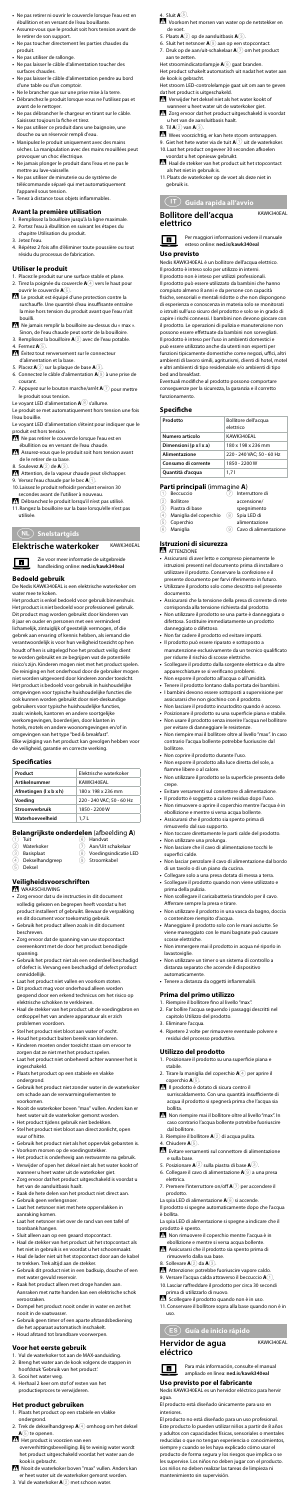#### 4. Sluit **A**5.

- -Voorkom het morsen van water op de netstekker en de voet.
- 5. Plaats **A**2 op de aansluitbasis **A**3.
- 6. Sluit het netsnoer **A**9 aan op een stopcontact.
- 7. Druk op de aan/uit-schakelaar **A**7 om het product aan te zetten.
- Het stroomindicatorlampje  $\mathbf{A}(\widehat{\mathbf{8}})$  gaat branden.
- Het product schakelt automatisch uit nadat het water aan de kook is gebracht. Het stroom LED-controlelampje gaat uit om aan te geven

- Verwijder het deksel niet als het water kookt of wanneer u heet water uit de waterkoker giet.
- Zorg ervoor dat het product uitgeschakeld is voordat u het van de aansluitbasis haalt.

#### Til  $\mathbf{A}(2)$  van  $\mathbf{A}(3)$ .

The View voorzichtig, er kan hete stoom ontsnappen. 9. Giet het hete water via de tuit  $\mathbf{A}(\widehat{\mathbf{1}})$  uit de waterkoker 10.Laat het product ongeveer 30 seconden afkoelen

dat het product is uitgeschakeld.

- voordat u het opnieuw gebruikt. Haal de stekker van het product uit het stopcontact als het niet in gebruik is.
- 11.Plaats de waterkoker op de voet als deze niet in gebruik is.

## j **Guida rapida all'avvio**

### **Bollitore dell'acqua elettrico**



KAWK340EAL

Per maggiori informazioni vedere il manuale esteso online: **ned.is/kawk340eal**

#### **Uso previsto**

Nedis KAWK340EAL è un bollitore dell'acqua elettrico.

Il prodotto è inteso solo per utilizzo in interni.

Interruttore di accensione/ spegnimento 8 Spia LED di

# **Belangrijkste onderdelen** (afbeelding **A**)<br>
1 Tuit **6** Handvat<br>
2 Waterkoker <br>
1 Aan/I lit schakelaar

- 
- **Bollitore**
- 3 Piastra di base
- $(4)$  Maniglia del coperchio
- 5 Coperchio<br>6 Maniglia **Maniglia**
- alimentazione 9 Cavo di alimentazione

Il prodotto non è inteso per utilizzi professionali. Il prodotto può essere utilizzato da bambini che hanno compiuto almeno 8 anni e da persone con capacità

fisiche, sensoriali e mentali ridotte o che non dispongono di esperienza e conoscenza in materia solo se monitorati o istruiti sull'uso sicuro del prodotto e solo se in grado di capire i rischi connessi. I bambini non devono giocare con il prodotto. Le operazioni di pulizia e manutenzione non possono essere effettuate da bambini non sorvegliati. Il prodotto è inteso per l'uso in ambienti domestici e

può essere utilizzato anche da utenti non esperti per funzioni tipicamente domestiche come negozi, uffici, altri ambienti di lavoro simili, agriturismi, clienti di hotel, motel e altri ambienti di tipo residenziale e/o ambienti di tipo bed and breakfast.

Eventuali modifiche al prodotto possono comportare conseguenze per la sicurezza, la garanzia e il corretto funzionamento.

#### **Specifiche**

| Prodotto               | Bollitore dell'acqua<br>elettrico |
|------------------------|-----------------------------------|
| Numero articolo        | KAWK340EAL                        |
| Dimensioni (p x l x a) | 180 x 198 x 236 mm                |
| Alimentazione          | 220 - 240 VAC: 50 - 60 Hz         |
| Consumo di corrente    | 1850 - 2200 W                     |
| Quantità d'acqua       | 1.71                              |

## **Parti principali** (immagine **A**)<br>1 **Beccuccio** (7 **Inter**

#### **Istruzioni di sicurezza**

- **ATTENZIONE**
- **•** Assicurarsi di aver letto e compreso pienamente le istruzioni presenti nel documento prima di installar utilizzare il prodotto. Conservare la confezione e il presente documento per farvi riferimento in futuro.
- **•** Utilizzare il prodotto solo come descritto nel presente documento.
- **•** Assicurarsi che la tensione della presa di corrente di rete corrisponda alla tensione richiesta dal prodotto.
- **•** Non utilizzare il prodotto se una parte è danneggiata o difettosa. Sostituire immediatamente un prodotto danneggiato o difettoso.
- **•** Non far cadere il prodotto ed evitare impatti.
- **•** Il prodotto può essere riparato e sottoposto a manutenzione esclusivamente da un tecnico qualificato
- per ridurre il rischio di scosse elettriche. **•** Scollegare il prodotto dalla sorgente elettrica e da altre apparecchiature se si verificano problemi.
- **•** Non esporre il prodotto all'acqua o all'umidità. **•** Tenere il prodotto lontano dalla portata dei bambini.
- 
- **•** I bambini devono essere sottoposti a supervisione per
- assicurarsi che non giochino con il prodotto. **•** Non lasciare il prodotto incustodito quando è acceso.
- **•** Posizionare il prodotto su una superficie piana e stabile.
- **•** Non usare il prodotto senza inserire l'acqua nel bollitore per evitare di danneggiare le resistenze.
- **•** Non riempire mai il bollitore oltre al livello "max". In caso contrario l'acqua bollente potrebbe fuoriuscire dal bollitore.
- **•** Non coprire il prodotto durante l'uso.
- **•** Non esporre il prodotto alla luce diretta del sole, a fiamme libere o al calore.
- **•** Non utilizzare il prodotto se la superficie presenta delle crepe. **Evitare versamenti sul connettore di alim** 
	-

- 1. Posizionare il prodotto su una superficie piana e stabile.
- 2. Tirare la maniglia del coperchio **A**4 per aprire il coperchio **A**5.
- Il prodotto è dotato di sicura contro il surriscaldamento. Con una quantità insufficiente di acqua il prodotto si spegnerà prima che l'acqua sia bollita.
- Non riempire mai il bollitore oltre al livello "max". In caso contrario l'acqua bollente potrebbe fuoriuscire dal bollitore.
- 3. Riempire il bollitore **A**2 di acqua pulita.
	- 4. Chiudere **A**5.
- -Evitare versamenti sul connettore di alimentazione e sulla base.
- 5. Posizionare **A**2 sulla piastra di base **A**3.
- 6. Collegare il cavo di alimentazione **A**9 a una presa elettrica.
- 7. Premere l'interruttore on/off **A**7 per accendere il prodotto.
- La spia LED di alimentazione **A**<sup>8</sup> si accende.

La spia LED di alimentazione si spegne a indicare che il odotto è spento.

- **•** Il prodotto è soggetto a calore residuo dopo l'uso.
- **•** Non rimuovere o aprire il coperchio mentre l'acqua è in ebollizione e mentre si versa acqua bollente.
- **•** Assicurarsi che il prodotto sia spento prima di rimuoverlo dal suo supporto.
- **•** Non toccare direttamente le parti calde del prodotto. **•** Non utilizzare una prolunga.
- **•** Non lasciare che il cavo di alimentazione tocchi le
- superfici calde. **•** Non lasciar penzolare il cavo di alimentazione dal bordo di un tavolo o di un piano da cucina.
- **•** Collegare solo a una presa dotata di messa a terra.
- **•** Scollegare il prodotto quando non viene utilizzato e prima della pulizia.
- **•** Non scollegare il caricabatteria tirandolo per il cavo. Afferrare sempre la presa e tirare.
- **•** Non utilizzare il prodotto in una vasca da bagno, doccia o contenitore riempito d'acqua.
- **•** Maneggiare il prodotto solo con le mani asciutte. Se viene maneggiato con le mani bagnate può causare scosse elettriche.
- **•** Non immergere mai il prodotto in acqua né riporlo in lavastoviglie.
- **•** Non utilizzare un timer o un sistema di controllo a distanza separato che accende il dispositivo automaticamente.
- **•** Tenere a distanza da oggetti infiammabili.

- Placez le produit sur une surface stable et plane. 2. Tirez la poignée du couvercle **A**4 vers le haut pour
- ouvrir le couvercle **A**5. -Le produit est équipé d'une protection contre la surchauffe. Une quantité d'eau insuffisante entraîne la mise hors tension du produit avant que l'eau n'ait bouilli.
- The jamais remplir la bouilloire au-dessus du « max ». Sinon, de l'eau chaude peut sortir de la bouilloire.
- 3. Remplissez la bouilloire **A**2 avec de l'eau potable. Fermez  $\mathbf{A}(5)$ .
- tivitez tout renversement sur le connecte d'alimentation et la base.
- 5. Placez **A**2 sur la plaque de base **A**3.
- 6. Connectez le câble d'alimentation **A**9 à une prise de courant.
- 7. Appuyez sur le bouton marche/arrêt **A**7 pour mettre le produit sous tension.
- Le voyant LED d'alimentation **A**8 s'allume.
- Le produit se met automatiquement hors tension une fois l'eau bouillie.

Ne pas retirer le couvercle lorsque l'eau est ébullition ou en versant de l'eau chaude.

- Assurez-vous que le produit soit hors tension avant de le retirer de sa base.
- 8. Soulevez **A**2 de **A**3.
- Attention, de la vapeur chaude peut s'échapper. 9. Versez l'eau chaude par le bec  $\overline{\mathbf{A}(\cdot)}$ .
- 10.Laissez le produit refroidir pendant environ 30 secondes avant de l'utiliser à nouveau.
- 
- -Débranchez le produit lorsqu'il n'est pas utilisé. 11.Rangez la bouilloire sur la base lorsqu'elle n'est pas utilisée.

### **(NL)** Snelstartgids

#### **Elektrische waterkoker** KAWK340EAL

- **Prima del primo utilizzo** 1. Riempire il bollitore fino al livello "max".
- 2. Far bollire l'acqua seguendo i passaggi descritti nel capitolo Utilizzo del prodotto.
- 3. Eliminare l'acqua.
- 4. Ripetere 2 volte per rimuovere eventuale polvere e residui del processo produttivo.

#### **Utilizzo del prodotto**

- **Tuit**
- Handvat
- Waterkoker 3 Basisplaat
- 4 Dekselhandgreep<br>
5 Deksel
- Deksel
- Aan/Uit schakelaar
- $\overset{\sim}{\textcircled{\textcirc}}$  Voedingsindicatie LED 9 Stroomkabel
- 
- 
- **Veiligheidsvoorschriften**

#### WAARSCHUWING

Il prodotto si spegne automaticamente dopo che l'acqua è bollita.

- -Non rimuovere il coperchio mentre l'acqua è in ebollizione e mentre si versa acqua bollente.
- Assicurarsi che il prodotto sia spento prima di rimuoverlo dalla sua base.
- 8. Sollevare **A**2 da **A**3.
- Attenzione: potrebbe fuoriuscire vapore caldo.
- 9. Versare l'acqua calda attraverso il beccuccio **A**1.
- 10.Lasciar raffreddare il prodotto per circa 30 secondi prima di utilizzarlo di nuovo.
- Scollegare il prodotto quando non è in uso.
- 11.Conservare il bollitore sopra alla base quando non è in uso.

## h **Guía de inicio rápido**

**Hervidor de agua** 

**eléctrico**

KAWK340EAL

Para más información, consulte el manual ampliado en línea: **ned.is/kawk340eal**

**Uso previsto por el fabricante** Nedis KAWK340EAL es un hervidor eléctrico para hervir

agua.

 $\blacksquare$ 

El producto está diseñado únicamente para uso en

interiores.

El producto no está diseñado para un uso profesional. Este producto lo pueden utilizar niños a partir de 8 años y adultos con capacidades físicas, sensoriales o mentales reducidas o que no tengan experiencia o conocimientos, siempre y cuando se les haya explicado cómo usar el producto de forma segura y los riesgos que implica o se les supervise. Los niños no deben jugar con el producto. Los niños no deben realizar las tareas de limpieza ni

mantenimiento sin supervisión.

- **•** Ne pas retirer ni ouvrir le couvercle lorsque l'eau est en ébullition et en versant de l'eau bouillante.
- **•** Assurez-vous que le produit soit hors tension avant de le retirer de son support.
- **•** Ne pas toucher directement les parties chaudes du produit.
- 
- **•** Ne pas utiliser de rallonge. **•** Ne pas laisser le câble d'alimentation toucher des surfaces chaudes.
- **•** Ne pas laisser le câble d'alimentation pendre au bord d'une table ou d'un comptoir.
- **•** Ne le brancher que sur une prise mise à la terre. **•** Débranchez le produit lorsque vous ne l'utilisez pas et
- avant de le nettoyer. **•** Ne pas débrancher le chargeur en tirant sur le câble.
- Saisissez toujours la fiche et tirez. **•** Ne pas utiliser ce produit dans une baignoire, une
- douche ou un réservoir rempli d'eau. **•** Manipulez le produit uniquement avec des mains
- sèches. La manipulation avec des mains mouillées peut provoquer un choc électrique.
- **•** Ne jamais plonger le produit dans l'eau et ne pas le mettre au lave-vaisselle.
- **•** Ne pas utiliser de minuterie ou de système de télécommande séparé qui met automatiquement l'appareil sous tension.
- **•** Tenez à distance tous objets inflammables.

#### **Avant la première utilisation**

- 1. Remplissez la bouilloire jusqu'à la ligne maximale. 2. Portez l'eau à ébullition en suivant les étapes du chapitre Utilisation du produit.
- 3. Jetez l'eau.
- 4. Répétez 2 fois afin d'éliminer toute poussière ou tout résidu du processus de fabrication.

#### **Utiliser le produit**

Le voyant LED d'alimentation s'éteint pour indiquer que le produit est hors tension.

Zie voor meer informatie de uitgebreide handleiding online: **ned.is/kawk340eal**

### **Bedoeld gebruik**

 $\blacksquare$ 

De Nedis KAWK340EAL is een elektrische waterkoker om water mee te koken. Het product is enkel bedoeld voor gebruik binnenshuis.

Het product is niet bedoeld voor professioneel gebruik. Dit product mag worden gebruikt door kinderen van 8 jaar en ouder en personen met een verminderd lichamelijk, zintuiglijk of geestelijk vermogen, of die gebrek aan ervaring of kennis hebben, als iemand die verantwoordelijk is voor hun veiligheid toezicht op hen houdt of hen is uitgelegd hoe het product veilig dient te worden gebruikt en ze begrijpen wat de potentiële risico's zijn. Kinderen mogen niet met het product spelen. De reiniging en het onderhoud door de gebruiker mogen niet worden uitgevoerd door kinderen zonder toezicht. Het product is bedoeld voor gebruik in huishoudelijke omgevingen voor typische huishoudelijke functies die ook kunnen worden gebruikt door niet-deskundige gebruikers voor typische huishoudelijke functies, zoals: winkels, kantoren en andere soortgelijke werkomgevingen, boerderijen, door klanten in hotels, motels en andere woonomgevingen en/of in omgevingen van het type "bed & breakfast". Elke wijziging van het product kan gevolgen hebben voor de veiligheid, garantie en correcte werking.

#### **Specificaties**

| Product                | Elektrische waterkoker    |
|------------------------|---------------------------|
| <b>Artikelnummer</b>   | KAWK340EAL                |
| Afmetingen (1 x b x h) | 180 x 198 x 236 mm        |
| Voeding                | 220 - 240 VAC; 50 - 60 Hz |
| Stroomverbruik         | 1850 - 2200 W             |
| Waterhoeveelheid       | 1.7L                      |

- **•** Zorg ervoor dat u de instructies in dit document volledig gelezen en begrepen heeft voordat u het product installeert of gebruikt. Bewaar de verpakking en dit document voor toekomstig gebruik.
- **•** Gebruik het product alleen zoals in dit document beschreven.
- **•** Zorg ervoor dat de spanning van uw stopcontact overeenkomt met de door het product benodigde spanning.
- **•** Gebruik het product niet als een onderdeel beschadigd of defect is. Vervang een beschadigd of defect product onmiddellijk.
- **•** Laat het product niet vallen en voorkom stoten.
- **•** Dit product mag voor onderhoud alleen worden geopend door een erkend technicus om het risico op elektrische schokken te verkleinen.
- **•** Haal de stekker van het product uit de voedingsbron en ontkoppel het van andere apparatuur als er zich problemen voordoen.
- **•** Stel het product niet bloot aan water of vocht.
- **•** Houd het product buiten bereik van kinderen.
- **•** Kinderen moeten onder toezicht staan om ervoor te zorgen dat ze niet met het product spelen.
- **•** Laat het product niet onbeheerd achter wanneer het is ingeschakeld.
- **•** Plaats het product op een stabiele en vlakke
- ondergrond. **•** Gebruik het product niet zonder water in de waterkoker om schade aan de verwarmingselementen te voorkomen.
- **•** Nooit de waterkoker boven "max" vullen. Anders kan er heet water uit de waterkoker gemorst worden.
- 
- **•** Het product tijdens gebruik niet bedekken. **•** Stel het product niet bloot aan direct zonlicht, open vuur of hitte.
- **•** Gebruik het product niet als het oppervlak gebarsten is. **•** Voorkom morsen op de voedingsstekker.
- **•** Het product is onderhevig aan restwarmte na gebruik.
- **•** Verwijder of open het deksel niet als het water kookt of wanneer u heet water uit de waterkoker giet.
- **•** Zorg ervoor dat het product uitgeschakeld is voordat u het van de aansluitbasis haalt.
- **•** Raak de hete delen van het product niet direct aan.
- **•** Gebruik geen verlengsnoer.
- **•** Laat het netsnoer niet met hete oppervlakken in aanraking komen.
- **•** Laat het netsnoer niet over de rand van een tafel of toonbank hangen.
- **•** Sluit alleen aan op een geaard stopcontact.
- **•** Haal de stekker van het product uit het stopcontact als het niet in gebruik is en voordat u het schoonmaakt.
- **•** Haal de lader niet uit het stopcontact door aan de kabel te trekken. Trek altijd aan de stekker.
- **•** Gebruik dit product niet in een badkuip, douche of een met water gevuld reservoir.
- **•** Raak het product alleen met droge handen aan. Aanraken met natte handen kan een elektrische schok veroorzaken.
- **•** Dompel het product nooit onder in water en zet het nooit in de vaatwasser.
- **•** Gebruik geen timer of een aparte afstandsbediening die het apparaat automatisch inschakelt.
- **•** Houd afstand tot brandbare voorwerpen.

#### **Voor het eerste gebruik**

- 1. Vul de waterkoker tot aan de MAX-aanduiding.
- 2. Breng het water aan de kook volgens de stappen in hoofdstuk 'Gebruik van het product'.
- 
- 3. Gooi het water weg. 4. Herhaal 2 keer om stof of resten van het productieproces te verwijderen.

#### **Het product gebruiken**

- 1. Plaats het product op een stabiele en vlakke
- ondergrond.
- 2. Trek de dekselhandgreep **A**4 omhoog om het deksel **A**<sup>5</sup> te openen.
- Het product is voorzien van een oververhittingsbeveiliging. Bij te weinig water wordt het product uitgeschakeld voordat het water aan de
- kook is gebracht. -Nooit de waterkoker boven "max" vullen. Anders kan er heet water uit de waterkoker gemorst worden.
- 3. Vul de waterkoker **A**2 met schoon water.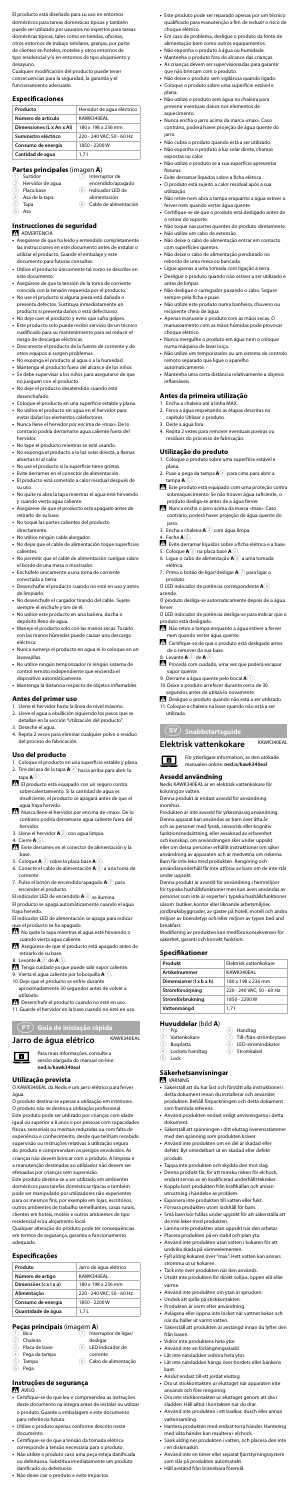- **•** Este produto pode ser reparado apenas por um técnico qualificado para manutenção a fim de reduzir o risco de choque elétrico.
- **•** Em caso de problema, desligue o produto da fonte de alimentação bem como outros equipamentos.
- **•** Não exponha o produto à água ou humidade.
- **•** Mantenha o produto fora do alcance das crianças. **•** As crianças devem ser supervisionadas para garantir que não brincam com o produto.
- **•** Não deixe o produto sem vigilância quando ligado. **•** Coloque o produto sobre uma superfície estável e plana.
- **•** Não utilize o produto sem água na chaleira para prevenir eventuais danos nos elementos de .<br>aquecimento.
- **•** Nunca encha o jarro acima da marca «max». Caso contrário, poderá haver projeção de água quente do jarro.
- **•** Não cubra o produto quando está a ser utilizado. **•** Não exponha o produto à luz solar direta, chamas
- expostas ou calor. **•** Não utilize o produto se a sua superfície apresentar
- fissuras. **•** Evite derramar líquidos sobre a ficha elétrica.
- **•** O produto está sujeito a calor residual após a sua utilização.
- **•** Não retire nem abra a tampa enquanto a água estiver a ferver nem quando verter água quente.
- **•** Certifique-se de que o produto está desligado antes de o retirar do suporte.
- **•** Não toque nas partes quentes do produto diretamente. **•** Não utilize um cabo de extensão.
- **•** Não deixe o cabo de alimentação entrar em contacto com superfícies quentes.
- **•** Não deixe o cabo de alimentação pendurado no rebordo de uma mesa ou bancada.
- **•** Ligue apenas a uma tomada com ligação à terra. **•** Desligue o produto quando não estiver a ser utilizado e antes de limpar.
- **•** Não desligue o carregador puxando o cabo. Segure sempre pela ficha e puxe.
- **•** Não utilize este produto numa banheira, chuveiro ou recipiente cheio de água
- **•** Apenas manuseie o produto com as mãos secas. O manuseamento com as mãos húmidas pode provocar choque elétrico.
- **•** Nunca mergulhe o produto em água nem o coloque numa máquina de lavar loiça.
- **•** Não utilize um temporizador ou um sistema de controlo remoto separado que ligue o aparelho automaticamente.
- **•** Mantenha uma certa distância relativamente a objetos inflamáveis.

O produto desliga-se automaticamente depois de a água ferver

För ytterligare information, se den utökade  $\blacksquare$ 

#### **Antes da primeira utilização**

- 1. Encha a chaleira até à linha MAX. 2. Ferva a água respeitando as etapas descritas no capítulo Utilizar o produto.
- 3. Deite a água fora.
- 4. Repita 2 vezes para remover eventuais poeiras ou resíduos do processo de fabricação.

#### **Utilização do produto**

- 1. Coloque o produto sobre uma superfície estável e
- plana. 2. Puxe a pega da tampa **A**4 para cima para abrir a tampa **A**5.
- Este produto está equipado com uma proteção contra sobreaquecimento. Se não houver água suficiente, o produto desliga-se antes de a água ferver.
- -Nunca encha o jarro acima da marca «max». Caso contrário, poderá haver projeção de água quente do jarro.
- 3. Encha a chaleira **A**<sup>2</sup> com água limpa
- 4. Feche **A**5.
- Evite derramar líquidos sobre a ficha elétrica e a base.
- 5. Coloque **A**2 na placa base **A**3. 6. Ligue o cabo de alimentação **A**9 a uma tomada
- elétrica. 7. Prima o botão de ligar/desligar **A**7 para ligar o
- produto.
- O LED indicador de potência correspondente **A**8 acende.

- O LED indicador de potência desliga-se para indicar que o produto está desligado.
- Não retire a tampa enquanto a água estiver a ferver nem quando verter água quente.
- -Certifique-se de que o produto está desligado antes de o remover da sua base.
- 8. Levante **A**2 de **A**3. Proceda com cuidado, uma vez que poderá escapar
- vapor quente.
- 9. Derrame a água quente pelo bocal **A**1. 10.Deixe o produto arrefecer durante cerca de 30 segundos antes de utilizá-lo novamente.
- -Desligue o produto quando não está a ser utilizado. 11.Coloque a chaleira na base quando não está a ser utilizada.

### (SV) Snabbstartsguide

#### **Elektrisk vattenkokare** KAWK340EAL

- **N** VARNING
- **•** Säkerställ att du har läst och förstått alla instruktioner i detta dokument innan du installerar och använder produkten. Behåll förpackningen och detta dokument som framtida referens.
- **•** Använd produkten endast enligt anvisningarna i detta dokument.
- **•** Säkerställ att spänningen i ditt eluttag överensstämmer med den spänning som produkten kräver.
- **•** Använd inte produkten om en del är skadad eller defekt. Byt omedelbart ut en skadad eller defekt produkt.
- **•** Tappa inte produkten och skydda den mot slag. **•** Denna produkt får, för att minska risken för elchock,
- endast servas av en kvalificerad underhållstekniker. **•** Koppla bort produkten från kraftkällan och annan
- utrustning i händelse av problem. **•** Exponera inte produkten till vatten eller fukt.
- **•** Förvara produkten utom räckhåll för barn.
- **•** Små barn bör hållas under uppsikt för att säkerställa att de inte leker med produkten.
- **•** Lämna inte produkten utan uppsikt när den arbetar.
- **•** Placera produkten på en stabil och plan yta.
- **•** Använd inte produkten utan vatten i kokaren för att undvika skada på värmeelementen.
- **•** Fyll aldrig kokaren över "max". Hett vatten kan annars strömma ut ur kokaren.
- **•** Täck inte över produkten när den används.
- **•** Utsätt inte produkten för direkt solljus, öppen eld eller värme.
- **•** Använd inte produkten om ytan är sprucken.
- **•** Undvik att spilla på stickkontakten.
- **•** Produkten är varm efter användning.
- **•** Avlägsna eller öppna inte locket när vattnet kokar och när du häller ut varmt vatten.
- **•** Säkerställ att produkten är avstängd innan du lyfter den från basen.
- **•** Vidrör inte produktens heta ytor.
- **•** Använd inte en förlängningssladd.
- **•** Låt inte nätsladden vidröra heta ytor. **•** Låt inte nätsladden hänga över bordets eller bänkens kant.
- **•** Anslut endast till ett jordat eluttag.
- **•** Dra ut stickkontakten ur eluttaget när apparaten inte används och före rengöring.
- **•** Dra inte stickkontakten ur eluttaget genom att dra i sladden. Håll alltid i kontakten när du drar.
- **•** Använd inte produkten i ett badkar, dusch eller annan vattensamling. **•** Hantera produkten med endast torra händer. Hantering
- med våta händer kan resultera i elchock.
- **•** Sänk aldrig ner produkten i vatten, och placera den inte i en diskmaskin.
- **•** Använd inte en timer eller separat fjärrstyrningssystem som slår på produkten automatiskt.
- **•** Håll avstånd från brännbara föremål.

### **Avsedd användning**

Nedis KAWK340EAL är en elektrisk vattenkokare för kokning av vatten.

Denna produkt är endast avsedd för användning inomhus.

El producto está diseñado para su uso en entornos domésticos para tareas domésticas típicas y también puede ser utilizado por usuarios no expertos para tareas domésticas típicas, tales como en tiendas, oficinas, otros entornos de trabajo similares, granjas, por parte de clientes en hoteles, moteles y otros entornos de tipo residencial y/o en entornos de tipo alojamiento y desayuno.

> Produkten är inte avsedd för yrkesmässig användning. Denna apparat kan användas av barn över åtta år och av personer med fysisk, sensorisk eller kognitiv funktionsnedsättning, eller avsaknad av erfarenhet och kunskap, om användningen sker under uppsikt eller om dessa personer erhållit instruktioner om säker användning av apparaten och är medvetna om riskerna. Barn får inte leka med produkten. Rengöring och användarunderhåll får inte utföras av barn om de inte står under uppsikt.

Denna produkt är avsedd för användning i hemmiljöer för typiska hushållsfunktioner men kan även användas av personer som inte är experter i typiska hushållsfunktioner såsom: butiker, kontor eller liknande arbetsmiljöer, jordbruksbyggnader, av gäster på hotell, motell och andra miljöer av boendetyp och/eller miljöer av typen bed and

breakfast. Modifiering av produkten kan medföra konsekvenser för

säkerhet, garanti och korrekt funktion.

#### **Specifikationer**

| Produkt                 | Elektrisk vattenkokare    |
|-------------------------|---------------------------|
| <b>Artikelnummer</b>    | KAWK340EAL                |
| Dimensioner (1 x b x h) | 180 x 198 x 236 mm        |
| Strömförsörjning        | 220 - 240 VAC: 50 - 60 Hz |
| Strömförbrukning        | 1850 - 2200 W             |
| Vattenmängd             | 1.71                      |

#### **Huvuddelar** (bild **A**)

- Pip
	- .<br>Vattenkokare
- 6 Handtag 7 Till-/från-strömbrytare 8 LED-strömindikator 9 Strömkabel
- 3 Basplatta (4) Lockets handtag
- $\overline{5}$  Lock

#### **Säkerhetsanvisningar**

- Tenga cuidado ya que puede salir vapor caliente
- 9. Vierta el agua caliente por la boquilla **A**1. 10.Deje que el producto se enfríe durante
- aproximadamente 30 segundos antes de volver a utilizarlo.

Desenchufe el producto cuando no esté en uso. 11.Guarde el hervidor en la base cuando no esté en uso.

Cualquier modificación del producto puede tener consecuencias para la seguridad, la garantía y el funcionamiento adecuado.

#### **Especificaciones**

- manualen online: **ned.is/kawk340eal**
- insuficiente, el producto se apagará antes de que el
- agua haya hervido.<br>19 Nunca llene el hervidor por encima de «max». De lo contrario podría derramarse agua caliente fuera del hervidor.
- 3. Llene el hervidor **A**2 con agua limpia.
- 4. Cierre **A**5.
- -Evite derrames en el conector de alimentación y la base.
- 5. Coloque **A**2 sobre la placa base **A**3.
- 6. Conecte el cable de alimentación **A**9 a una toma de corriente.
- 7. Pulse el botón de encendido/apagado **A**7 para encender el producto.
- El indicador LED de encendido **A**8 se ilumina.
- El producto se apaga automáticamente cuando el agua haya hervido. El indicador LED de alimentación se apaga para indicar
- que el producto se ha apagado.
- No quite la tapa mientras el agua esté hirviendo o cuando vierta agua caliente.
- -Asegúrese de que el producto está apagado antes de retirarlo de su base.

| Producto                  | Hervidor de aqua eléctrico |
|---------------------------|----------------------------|
| Número de artículo        | KAWK340EAL                 |
| Dimensiones (L x An x Al) | 180 x 198 x 236 mm         |
| Suministro eléctrico      | 220 - 240 VAC; 50 - 60 Hz  |
| Consumo de energía        | 1850 - 2200 W              |
| Cantidad de aqua          | 1.71                       |

#### **Partes principales** (imagen **A**)

| (1) | Surtidor         |     | Interruptor de        |
|-----|------------------|-----|-----------------------|
| (2) | Hervidor de aqua |     | encendido/apagado     |
| (3) | Placa base       | 8   | Indicador LED de      |
| (4) | Asa de la tapa   |     | alimentación          |
| (5  | Tapa             | (9) | Cable de alimentación |
| 6   | Asa              |     |                       |

#### **Instrucciones de seguridad**

#### **ADVERTENCIA**

- **•** Asegúrese de que ha leído y entendido completamente las instrucciones en este documento antes de instalar o utilizar el producto. Guarde el embalaje y este documento para futuras consultas.
- **•** Utilice el producto únicamente tal como se describe en este documento.
- **•** Asegúrese de que la tensión de la toma de corriente coincida con la tensión requerida por el producto.
- **•** No use el producto si alguna pieza está dañada o presenta defectos. Sustituya inmediatamente un producto si presenta daños o está defectuoso.
- **•** No deje caer el producto y evite que sufra golpes. **•** Este producto solo puede recibir servicio de un técnico cualificado para su mantenimiento para así reducir el riesgo de descargas eléctricas.
- **•** Desconecte el producto de la fuente de corriente y de otros equipos si surgen problemas.
- **•** No exponga el producto al agua o a la humedad.
- **•** Mantenga el producto fuera del alcance de los niños. **•** Se debe supervisar a los niños para asegurarse de que
- no jueguen con el producto. **•** No deje el producto desatendido cuando esté
- desenchufado. **•** Coloque el producto en una superficie estable y plana. **•** No utilice el producto sin agua en el hervidor para
- evitar dañar los elementos calefactores. **•** Nunca llene el hervidor por encima de «max». De lo
- contrario podría derramarse agua caliente fuera del hervidor.
- **•** No tape el producto mientras se esté usando.
- **•** No exponga el producto a la luz solar directa, a llamas abiertas ni al calor.
- **•** No use el producto si la superficie tiene grietas.
- **•** Evite derrames en el conector de alimentación. **•** El producto está sometido a calor residual después de su uso.
- **•** No quite ni abra la tapa mientras el agua esté hirviendo y cuando vierta agua caliente.
- **•** Asegúrese de que el producto está apagado antes de retirarlo de su base.
- **•** No toque las partes calientes del producto directamente.
- **•** No utilice ningún cable alargador.
- **•** No dejar que el cable de alimentación toque superficies calientes.
- **•** No permitir que el cable de alimentación cuelgue sobre el borde de una mesa o mostrador.
- **•** Enchúfelo únicamente a una toma de corriente conectada a tierra.
- **•** Desenchufar el producto cuando no esté en uso y antes de limpiarlo.
- **•** No desenchufe el cargador tirando del cable. Sujete siempre el enchufe y tire de él.
- **•** No utilice este producto en una bañera, ducha o depósito lleno de agua.
- **•** Maneje el producto solo con las manos secas. Tocarlo con las manos húmedas puede causar una descarga eléctrica.
- **•** Nunca sumerja el producto en agua ni lo coloque en un lavavajillas.
- **•** No utilice ningún temporizador ni ningún sistema de control remoto independiente que encienda el dispositivo automáticamente.
- **•** Mantenga la distancia respecto de objetos inflamables.

### **Antes del primer uso**

- 1. Llene el hervidor hasta la línea de nivel máximo.
- 2. Lleve el agua a ebullición siguiendo los pasos qu detallan en la sección "Utilización del producto". 3. Deseche el agua.
- 4. Repita 2 veces para eliminar cualquier polvo o residuo del proceso de fabricación.

### **Uso del producto**

- Coloque el producto en una superficie estable y plana. 2. Tire del asa de la tapa **A**4 hacia arriba para abrir la tapa **A**5.
- El producto está equipado con un seguro contra sobrecalentamiento. Si la cantidad de agua e

8. Levante **A**2 de **A**3.

i **Guia de iniciação rápida**

Jarro de água elétrico KAWK340EAL

Para mais informações, consulte a versão alargada do manual on-line: **ned.is/kawk340eal**

 $\boxed{\blacksquare}$ 

**Utilização prevista** O KAWK340EAL da Nedis é um jarro elétrico para ferver água.

O produto destina-se apenas a utilização em interiores. O produto não se destina a utilização profissional. Este produto pode ser utilizado por crianças com idade igual ou superior a 8 anos e por pessoas com capacidades físicas, sensoriais ou mentais reduzidas ou com falta de experiência e conhecimento, desde que tenham recebido supervisão ou instruções relativas à utilização segura do produto e compreendam os perigos envolvidos. As crianças não devem brincar com o produto. A limpeza e a manutenção destinadas ao utilizador não devem ser efetuadas por crianças sem supervisão.

Este produto destina-se a ser utilizado em ambientes domésticos para tarefas domésticas típicas e também pode ser manipulado por utilizadores não experientes para os mesmos fins, por exemplo em lojas, escritórios, outros ambientes de trabalho semelhantes, casas rurais, clientes em hotéis, motéis e outros ambientes de tipo residencial e/ou alojamento local.

Qualquer alteração do produto pode ter consequências em termos de segurança, garantia e funcionamento adequado.

#### **Especificações**

| Produto               | Jarro de áqua elétrico    |
|-----------------------|---------------------------|
| Número de artigo      | KAWK340FAL                |
| Dimensões (c x l x a) | 180 x 198 x 236 mm        |
| Alimentação           | 220 - 240 VAC; 50 - 60 Hz |
| Consumo de energia    | 1850 - 2200 W             |
| Quantidade de água    | 1.7L                      |

#### **Peças principais** (imagem **A**) 7 Interruptor de ligar/

**Bicc**  $\overline{2}$  Chaleira

- 
- 3 Placa de base<br>(4) Pega da tamp
- Pega da tampa
- 5 Tampa
- $\overline{6}$  Pega

desligar 8 LED indicador de

- corrente
- 9 Cabo de alimentação
- 
- 

**Instruções de segurança N** AVISO **•** Certifique-se de que leu e compreendeu as instruções

- deste documento na íntegra antes de instalar ou utilizar o produto. Guarde a embalagem e este documento para referência futura.
- **•** Utilize o produto apenas conforme descrito neste documento.
- **•** Certifique-se de que a tensão da tomada elétrica corresponde à tensão necessária para o produto.
- **•** Não utilize o produto caso uma peça esteja danificada ou defeituosa. Substitua imediatamente um produto danificado ou defeituoso.
- **•** Não deixe cair o produto e evite impactos.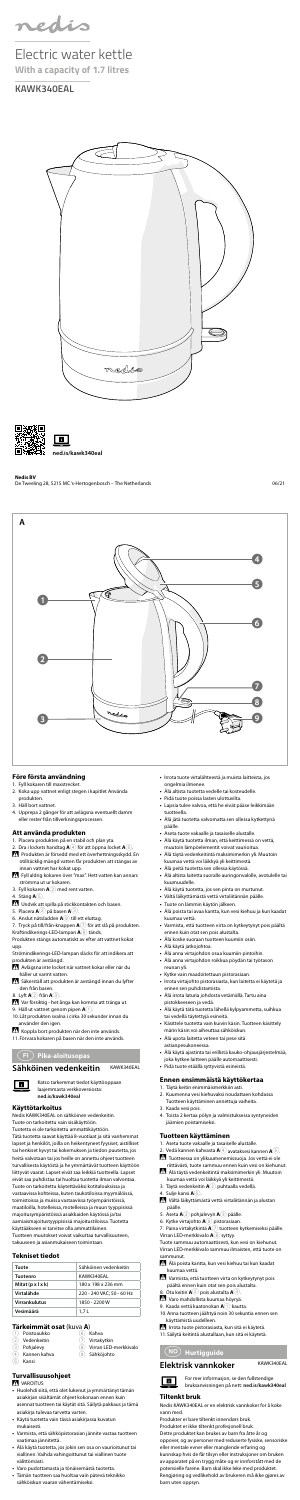- **•** Pidä tuote poissa lasten ulottuvilta.
- **•** Lapsia tulee valvoa, että he eivät pääse leikkimään tuotteella.
- **•** Älä jätä tuotetta valvomatta sen ollessa kytkettynä päälle.
- **•** Aseta tuote vakaalle ja tasaiselle alustalle.
- **•** Älä käytä tuotetta ilman, että keittimessä on vettä,
- muutoin lämpöelementit voivat vaurioitua. **•** Älä täytä vedenkeitintä maksimimerkin yli. Muutoin kuumaa vettä voi läikkyä yli keittimestä.
- **•** Älä peitä tuotetta sen ollessa käytössä.
- **•** Älä altista laitetta suoralle auringonvalolle, avotulelle tai kuumuudelle.
- 
- **•** Älä käytä tuotetta, jos sen pinta on murtunut. **•** Vältä läikyttämästä vettä virtaliitännän päälle.
- **•** Tuote on lämmin käytön jälkeen.
- **•** Älä poista tai avaa kantta, kun vesi kiehuu ja kun kaadat kuumaa vettä.
- **•** Varmista, että tuotteen virta on kytkeytynyt pois päältä ennen kuin otat sen pois alustalta.
- **•** Älä koske suoraan tuotteen kuumiin osiin.
- **•** Älä käytä jatkojohtoa.
- **•** Älä anna virtajohdon osua kuumiin pintoihin. **•** Älä anna virtajohdon roikkua pöydän tai työtason reunan yli.
- **•** Kytke vain maadoitettuun pistorasiaan.
- **•** Irrota virtajohto pistorasiasta, kun laitetta ei käytetä ja ennen sen puhdistamista.
- **•** Älä irrota laturia johdosta vetämällä. Tartu aina pistokkeeseen ja vedä.
- **•** Älä käytä tätä tuotetta lähellä kylpyammetta, suihkua tai vedellä täytettyjä esineitä. **•** Käsittele tuotetta vain kuivin käsin. Tuotteen käsittely
- märin käsin voi aiheuttaa sähköiskun.
- **•** Älä upota laitetta veteen tai pese sitä astianpesukoneessa.
- **•** Älä käytä ajastinta tai erillistä kauko-ohjausjärjestelmää, joka kytkee laitteen päälle automaattisesti.
- **•** Pidä tuote etäällä syttyvistä esineistä.

Alä poista kantta, kun vesi kiehuu tai kun kaadat kuumaa vettä.

- Varmista, että tuotteen virta on kytkeytynyt pois päältä ennen kuin otat sen pois alustalta.
- 
- 8. Ota keitin **A**② pois alustalta **A**③.<br><u>7. Varo mahdollista kuumaa höyryä</u>.
- 9. Kaada vettä kaatonokan **A**<sup>1</sup> kautta
- 10.Anna tuotteen jäähtyä noin 30 sekuntia ennen sen käyttämistä uudelleen.
- Irrota tuote pistorasiasta, kun sitä ei käytetä.
- 11.Säilytä keitintä alustallaan, kun sitä ei käytetä.

#### $\boxed{\mathbf{B}}$ bruksanvisningen på nett: **ned.is/kawk340eal**

#### **Ennen ensimmäistä käyttökertaa**

- 1. Täytä keitin enimmäismerkkiin asti.
- 2. Kuumenna vesi kiehuvaksi noudattaen kohdassa Tuotteen käyttäminen annettuja vaiheita.
- 3. Kaada vesi pois.
- 4. Toista 2 kertaa pölyn ja valmistuksessa syntyneiden jäämien poistamiseksi.

1. Fyll kokaren till maxstrecket. Koka upp vattnet enligt steg

#### **Tuotteen käyttäminen**

- **•** Irrota tuote virtalähteestä ja muista laitteista, jos ongelmia ilmenee.
- **•** Älä altista tuotetta vedelle tai kosteudelle.
- produkten
- 3. Häll bort vattnet.
- 4. Upprepa 2 gånger för att avlägsna eventuellt damm eller rester från tillverkningsprocessen.

- 1. Aseta tuote vakaalle ja tasaiselle alustalle.
- 2. Vedä kannen kahvasta **A**4 avataksesi kannen **A**5. -Tuotteessa on ylikuumenemissuoja. Jos vettä ei ole
- riittävästi, tuote sammuu ennen kuin vesi on kiehunut. -Älä täytä vedenkeitintä maksimimerkin yli. Muutoin
- kuumaa vettä voi läikkyä yli keittimestä.
- 3. Täytä vedenkeitin **A**2 puhtaalla vedellä.
- 4. Sulje kansi **A**5.

7. Tryck på till/från-knappen **A**7 för att slå på produkten. Kraftindikerings-LED-lampan **A**⑧ tänds.<br>Produkten stängs automatiskt av efter att vattnet kokat

-Vältä läikyttämästä vettä virtaliitännän ja alustan

- Avlägsna inte locket när vattnet kokar eller när du häller ut varmt vatten.
- säkerställ att produkten är avstängd innan du lyfter den från basen.
- 8. Lyft **A**2 från **A**3.

Var försiktig - het ånga kan komma att tränga ut.

- päälle. 5. Aseta **A**2 pohjalevyn **A**3 päälle.
- 6. Kytke virtajohto **A**9 pistorasiaan.
- 7. Paina virtakytkintä **A**7 tuotteen kytkemiseksi päälle. Virran LED-merkkivalo **A**8 syttyy.

Koppla bort produkten när den inte används. 11.Förvara kokaren på basen när den inte används.

> Tuote sammuu automaattisesti, kun vesi on kiehunut. Virran LED-merkkivalo sammuu ilmaisten, että tuote on sammunut.

f **Hurtigguide**

#### **Elektrisk vannkoker** KAWK340EAL

For mer informasjon, se den fullstendige

#### **Tiltenkt bruk**

Nedis KAWK340EAL er en elektrisk vannkoker for å koke vann med.

Produkter er bare tiltenkt innendørs bruk. Produktet er ikke tiltenkt profesjonell bruk. Dette produktet kan brukes av barn fra åtte år og oppover, og av personer med reduserte fysiske, sensoriske eller mentale evner eller manglende erfaring og kunnskap hvis de får tilsyn eller instruksjoner om bruken av apparatet på en trygg måte og er innforstått med de potensielle farene. Barn skal ikke leke med produktet. Rengjøring og vedlikehold av brukeren må ikke gjøres av

barn uten oppsyn.

#### **Före första användning**

#### **Att använda produkten**

- 1. Placera produkten på en stabil och plan yta.
- 2. Dra i lockets handtag **A**4 för att öppna locket **A**5. -Produkten är försedd med ett överhettningsskydd. En
- otillräcklig mängd vatten får produkten att stängas av innan vattnet har kokat upp.
- -Fyll aldrig kokaren över "max". Hett vatten kan annars strömma ut ur kokaren.
- 3. Fyll kokaren **A**2 med rent vatten.

4. Stäng **A**5.

- -Undvik att spilla på stickkontakten och basen.
- 5. Placera **A**2 på basen **A**3.
- 6. Anslut nätsladden **A**9 till ett eluttag.

upp.

Strömindikerings-LED-lampan släcks för att indikera att produkten är avstängd.

9. Häll ut vattnet genom pipen **A**1. 10.Låt produkten svalna i cirka 30 sekunder innan du

använder den igen.

### g **Pika-aloitusopas**

### Sähköinen vedenkeitin KAWK340EAL

Katso tarkemmat tiedot käyttöoppaan laajemmasta verkkoversiosta: **ned.is/kawk340eal**

#### **Käyttötarkoitus**

 $\blacksquare$ 

Nedis KAWK340EAL on sähköinen vedenkeitin. Tuote on tarkoitettu vain sisäkäyttöön.

Tuotetta ei ole tarkoitettu ammattikäyttöön.

Tätä tuotetta saavat käyttää 8-vuotiaat ja sitä vanhemmat lapset ja henkilöt, joilla on heikentyneet fyysiset, aistilliset tai henkiset kyvyt tai kokemuksen ja tiedon puutetta, jos heitä valvotaan tai jos heille on annettu ohjeet tuotte turvallisesta käytöstä ja he ymmärtävät tuotteen käyttöön liittyvät vaarat. Lapset eivät saa leikkiä tuotteella. Lapset eivät saa puhdistaa tai huoltaa tuotetta ilman valvontaa. Tuote on tarkoitettu käytettäväksi kotitalouksissa ja vastaavissa kohteissa, kuten taukotiloissa myymälöissä, toimistoissa ja muissa vastaavissa työympäristöissä, maatiloilla, hotelleissa, motelleissa ja muun tyyppisissä majoitusympäristöissä asiakkaiden käytössä ja/tai aamiaismajoitustyyppisissä majoitustiloissa. Tuotetta käyttääkseen ei tarvitse olla ammattilainen. Tuotteen muutokset voivat vaikuttaa turvallisuuteen, takuuseen ja asianmukaiseen toimintaan.

#### **Tekniset tiedot**

| Tuote                | Sähköinen vedenkeitin     |
|----------------------|---------------------------|
| Tuotenro             | KAWK340FAL                |
| Mitat (p x l x k)    | 180 x 198 x 236 mm        |
| Virtalähde           | 220 - 240 VAC: 50 - 60 Hz |
| <b>Virrankulutus</b> | 1850 - 2200 W             |
| Vesimäärä            | 1.7L                      |

Virtakytkin Virran LED-merkkivalo

9 Sähköjohto

#### **Tärkeimmät osat** (kuva **A**)

| (1) Poistoaukko                                                                                                                                                                                                                                                                                                    | 6) Kahva             |
|--------------------------------------------------------------------------------------------------------------------------------------------------------------------------------------------------------------------------------------------------------------------------------------------------------------------|----------------------|
| (2) Vedenkeitin                                                                                                                                                                                                                                                                                                    | (7) Virtak           |
| $\sqrt{2}$ $\sqrt{2}$ $\sqrt{2}$ $\sqrt{2}$ $\sqrt{2}$ $\sqrt{2}$ $\sqrt{2}$ $\sqrt{2}$ $\sqrt{2}$ $\sqrt{2}$ $\sqrt{2}$ $\sqrt{2}$ $\sqrt{2}$ $\sqrt{2}$ $\sqrt{2}$ $\sqrt{2}$ $\sqrt{2}$ $\sqrt{2}$ $\sqrt{2}$ $\sqrt{2}$ $\sqrt{2}$ $\sqrt{2}$ $\sqrt{2}$ $\sqrt{2}$ $\sqrt{2}$ $\sqrt{2}$ $\sqrt{2}$ $\sqrt{2$ | $\sim$ $\sim$ $\sim$ |

- 3 Pohjalevy
- 4 Kannen kahva
- $\overline{5}$  Kansi
- **Turvallisuusohjeet**

#### VAROITUS

- **•** Huolehdi siitä, että olet lukenut ja ymmärtänyt tämän asiakirjan sisältämät ohjeet kokonaan ennen kuin asennat tuotteen tai käytät sitä. Säilytä pakkaus ja tämä asiakirja tulevaa tarvetta varten.
- **•** Käytä tuotetta vain tässä asiakirjassa kuvatun mukaisesti.
- **•** Varmista, että sähköpistorasian jännite vastaa tuotteen vaatimaa jännitettä.
- **•** Älä käytä tuotetta, jos jokin sen osa on vaurioitunut tai viallinen. Vaihda vahingoittunut tai viallinen tuote välittömästi.
- **•** Varo pudottamasta ja tönäisemästä tuotetta.
- **•** Tämän tuotteen saa huoltaa vain pätevä teknikko sähköiskun vaaran vähentämiseksi.



nedis

Electric water kettle **With a capacity of 1.7 litres**

**KAWK340EAL**





**Nedis BV**

De Tweeling 28, 5215 MC 's-Hertogenbosch – The Netherlands 06/21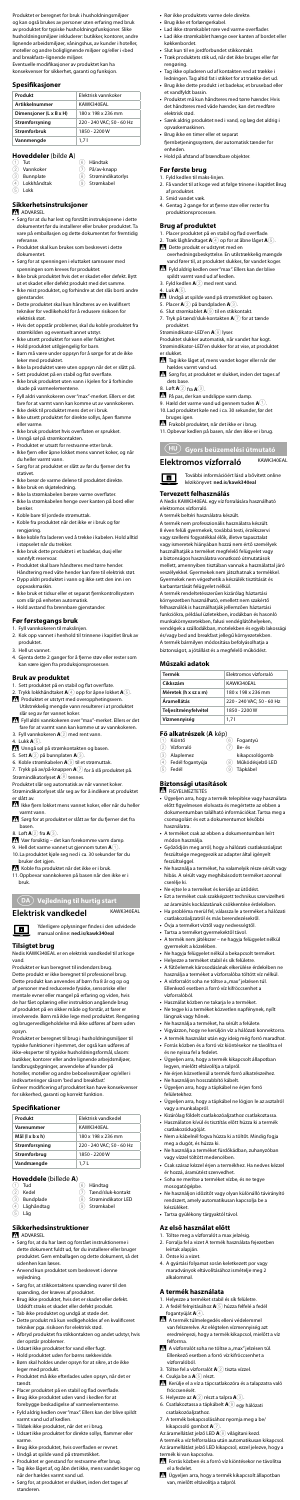- **•** Rør ikke produktets varme dele direkte.
- **•** Brug ikke et forlængerkabel.
- **•** Lad ikke strømkablet røre ved varme overflader.
- **•** Lad ikke strømkablet hænge over kanten af bordet eller køkkenbordet.
- **•** Slut kun til en jordforbundet stikkontakt.
- **•** Træk produktets stik ud, når det ikke bruges eller før rengøring.
- **•** Tag ikke opladeren ud af kontakten ved at trække i
- ledningen. Tag altid fat i stikket for at trække det ud. **•** Brug ikke dette produkt i et badekar, et brusebad eller et vandfyldt bassin.
- **•** Produktet må kun håndteres med tørre hænder. Hvis det håndteres med våde hænder, kan det medføre elektrisk stød.
- **•** Sænk aldrig produktet ned i vand, og læg det aldrig i opvaskemaskinen.
- **•** Brug ikke en timer eller et separat fjernbetjeningssystem, der automatisk tænder for enheden.
- **•** Hold på afstand af brændbare objekter.

#### **Før første brug**

- 1. Fyld kedlen til maks-linjen.
	- 2. Få vandet til at koge ved at følge trinene i kapitlet Brug af produktet.
	- 3. Smid vandet væk.
	- 4. Gentag 2 gange for at fjerne støv eller rester fra produktionsprocessen.

#### **Brug af produktet**

- Tag ikke låget af, mens vandet koger eller når der hældes varmt vand ud.
- Sørg for, at produktet er slukket, inden det tages af dets base.
- 8. Løft **A**2 fra **A**3.
- På pas, der kan undslippe varm damp.
- 9. Hæld det varme vand ud gennem tuden **A**1. 10.Lad produktet køle ned i ca. 30 sekunder, før det bruges igen.
- -Frakobl produktet, når det ikke er i brug. 11.Opbevar kedlen på basen, når den ikke er i brug.
- 
- 1. Placer produktet på en stabil og flad overflade.
- 2. Træk låghåndtaget **A**4 op for at åbne låget **A**5.
- -Dette produkt er udstyret med en overhedningsbeskyttelse. En utilstrækkelig mængde vand fører til, at produktet slukkes, før vandet koger.
- -Fyld aldrig kedlen over "max". Ellers kan der blive spildt varmt vand ud af kedlen.
- 3. Fyld kedlen **A**2 med rent vand.
- 4. Luk **A**5.

Undgå at spilde vand på strømstikket og basen.

- 5. Placer **A**2 på bundpladen **A**3.
- 6. Slut strømkablet **A**9 til en stikkontakt.
- 7. Tryk på tænd/sluk-kontakten **A**7 for at tænde produktet.
- Strømindikator-LED'en **A**8 lyser.

Produktet slukker automatisk, når vandet har kogt. Strømindikator-LED'en slukker for at vise, at produktet er slukket.

**Termék** Elektromos vízforraló **Cikkszám** KAWK340EAL **Méretek (h x sz x m)** 180 x 198 x 236 mm **Áramellátás** 220 - 240 VAC; 50 - 60 Hz **Teljesítményfelvétel** 1850 - 2200 W **Vízmennyiség** 1,7 l **Fő alkatrészek (A** kép)<br>1 Kiöntő

6 Fogantyú  $\overline{2}$  Be- és

kikapcsológomb 8 Működésjelző LED  $\overline{(9)}$  Tápkábel

## k **Gyors beüzemelési útmutató**

**Elektromos vízforraló** KAWK340EAL

ात

További információért lásd a bővített online kézikönyvet: **ned.is/kawk340eal**

#### **Tervezett felhasználás**

A Nedis KAWK340EAL egy víz forralására használható elektromos vízforraló.

A termék beltéri használatra készült. A termék nem professzionális használatra készült.

8 éven felüli gyermekek, továbbá testi, érzékszervi vagy szellemi fogyatékkal élők, illetve tapasztalat vagy ismeretek hiányában hozzá nem értő személyek használhatják a terméket megfelelő felügyelet vagy a biztonságos használatra vonatkozó útmutatások mellett, amennyiben tisztában vannak a használattal járó veszélyekkel. Gyermekek nem játszhatnak a termékkel. Gyermekek nem végezhetik a készülék tisztítását és karbantartását felügyelet nélkül.

A termék rendeltetésszerűen kizárólag háztartási környezetben használható, emellett nem szakértő felhasználók is használhatják jellemzően háztartási funkciókra, például üzletekben, irodákban és hasonló munkakörnyezetekben, falusi vendéglátóhelyeken, vendégek a szállodákban, motelekben és egyéb lakossági és/vagy bed and breakfast jellegű környezetekben. A termék bármilyen módosítása befolyásolhatja a biztonságot, a jótállást és a megfelelő működést.

**Műszaki adatok**

Vízforraló **Alaplemez** . . . .<br>Fedél fogantyúja

**Biztonsági utasítások**<br>29 FIGYELMEZTETÉS

5 Fedél

A termék a víz felforralása után automatikusan kikapcsol. Az áramellátást jelző LED kikapcsol, ezzel jelezve, hogy a termék ki van kapcsolva.

- Forrás közben és a forró víz kiöntésekor ne távolítsa el a fedelet.
- Ugyeljen arra, hogy a termék kikapcsolt állapotban van, mielőtt eltávolítja a talpról.

**•** Ügyeljen arra, hogy a termék telepítése vagy használata előtt figyelmesen elolvasta és megértette az ebben a dokumentumban található információkat. Tartsa meg a csomagolást és ezt a dokumentumot későbbi használatra.

#### **Hoveddeler** (bilde **A**) **Tut**

#### **Sikkerhetsinstruksjoner ADVARSEL**

- **•** A terméket csak az ebben a dokumentumban leírt módon használja.
- **•** Győződjön meg arról, hogy a hálózati csatlakozóaljzat feszültsége megegyezik az adapter által igényelt feszültséggel.
- **•** Ne használja a terméket, ha valamelyik része sérült vagy hibás. A sérült vagy meghibásodott terméket azonnal cserélje ki.
- **•** Ne ejtse le a terméket és kerülje az ütődést.
- **•** Ezt a terméket csak szakképzett technikus szervizelheti az áramütés kockázatának csökkentése érdekében.
- **•** Ha probléma merül fel, válassza le a terméket a hálózati csatlakozóaljzatról és más berendezésekről.
- **•** Óvja a terméket víztől vagy nedvességtől.
- **•** Tartsa a terméket gyermekektől távol. **•** A termék nem játékszer ne hagyja felügyelet nélkül gyermekét a közelében.
- 
- **•** Ne hagyja felügyelet nélkül a bekapcsolt terméket. **•** Helyezze a terméket stabil és sík felületre.
- **•** A fűtőelemek károsodásának elkerülése érdekében ne használja a terméket a vízforralóba töltött víz nélkül.
- **•** A vízforralót soha ne töltse a "max" jelzésen túl. Ellenkező esetben a forró víz kifröccsenhet a vízforralóból.
- **•** Használat közben ne takarja le a terméket.
- **•** Ne tegye ki a terméket közvetlen napfénynek, nyílt
- lángnak vagy hőnek. **•** Ne használja a terméket, ha sérült a felülete.
- **•** Vigyázzon, hogy ne kerüljön víz a hálózati konnektorra.
- 
- **•** A termék használat után egy ideig még forró maradhat. **•** Forrás közben és a forró víz kiöntésekor ne távolítsa el és ne nyissa fel a fedelet.
- **•** Ügyeljen arra, hogy a termék kikapcsolt állapotban legyen, mielőtt eltávolítja a talpról.
- **•** Ne érjen közvetlenül a termék forró alkatrészeihez.
- **•** Ne használjon hosszabbító kábelt.
- **•** Ügyeljen arra, hogy a tápkábel ne érjen forró felületekhez.
- **•** Ügyeljen arra, hogy a tápkábel ne lógjon le az asztalról vagy a munkalapról.
- **•** Kizárólag földelt csatlakozóaljzathoz csatlakoztassa. **•** Használaton kívül és tisztítás előtt húzza ki a termék
- csatlakozódugóját. **•** Nem a kábelnél fogva húzza ki a töltőt. Mindig fogja
- meg a dugót, és húzza ki. **•** Ne használja a terméket fürdőkádban, zuhanyzóban vagy vízzel töltött medencében.
- **•** Csak száraz kézzel érjen a termékhez. Ha nedves kézzel ér hozzá, áramütést szenvedhet.
- Soha ne merítse a terméket vízbe, és ne teg<sub>)</sub> mosogatógépbe.
- **•** Ne használjon időzítőt vagy olyan különálló távirányító rendszert, amely automatikusan kapcsolja be a készüléket.
- **•** Tartsa gyúlékony tárgyaktól távol.
- **Bruk av produktet** 1. Sett produktet på en stabil og flat overflate.
- 2. Trykk lokkhåndtaket **A**4 opp for åpne lokket **A**5.
- -Produktet er utstyrt med overopphetingsvern. Utilstrekkelig mengde vann resulterer i at produktet slår seg av før vannet koker.
- Fyll aldri vannkokeren over "max"-merket. Ellers er det fare for at varmt vann kan komme ut av vannkokeren. 3. Fyll vannkokeren **A**2 med rent vann.
- 4. Lukk **A**5.
- -Unngå søl på strømkontakten og basen.
- 5. Sett **A**2 på bunnplaten **A**3.
- 6. Koble strømkabelen **A**9 til et strømuttak.
- 7. Trykk på av/på-knappen **A**7 for å slå produktet på. Strømindikatorlyset **A**8 tennes.
- Produktet slår seg automatisk av når vannet koker. Strømindikatorlyset slår seg av for å indikere at pro

Ikke fjern lokket mens vannet koker, eller når du heller varmt vann.

Sørg for at produktet er slått av før du fjerner det fra basen.

#### **Az első használat előtt**

- 1. Töltse meg a vízforralót a max jelzésig.
- 2. Forralja fel a vizet A termék használata fejezetben leírtak alapján.
- 3. Öntse ki a vizet.
- 4. A gyártási folyamat során keletkezett por vagy maradványok eltávolításához ismételje meg 2 alkalommal.

#### **A termék használata**

#### **Sikkerhedsinstruktioner N** ADVARSEL

- 1. Helyezze a terméket stabil és sík felületre. 2. A fedél felnyitásához **A**5 húzza felfelé a fedél fogantyúját **A**4.
- -A termék túlmelegedés elleni védelemmel van felszerelve. Az elégtelen vízmennyiség azt eredményezi, hogy a termék kikapcsol, mielőtt a víz felforrna.
- A vízforralót soha ne töltse a "max" jelzésen túl. Ellenkező esetben a forró víz kifröccsenhet a vízforralóból.
- 3. Töltse fel a vízforralót **A**2 tiszta vízzel.
- 4. Csukja be a **A**5 részt.
- Kerülje el a víz a tápcsatlakozóra és a talapzatra való fröccsenését.
- 5. Helyezze az **A**2 részt a talpra **A**3.
- 6. Csatlakoztassa a tápkábelt **A**9 egy hálózati csatlakozóaljzathoz.
- 7. A termék bekapcsolásához nyomja meg a be/ kikapcsoló gombot **A**7.
- Az áramellátást jelző LED **A**8 világítani kezd.

Produktet er beregnet for bruk i husholdningsmiljøer og kan også brukes av personer uten erfaring med bruk av produktet for typiske husholdningsfunksjoner. Slike husholdningsmiljøer inkluderer: butikker, kontorer, andre lignende arbeidsmiljøer, våningshus, av kunder i hoteller, moteller og andre boliglignende miljøer og/eller i «bed and breakfast»-lignende miljøer.

Eventuelle modifikasjoner av produktet kan ha konsekvenser for sikkerhet, garanti og funksjon.

#### **Spesifikasjoner**

| Produkt                 | <b>Flektrisk vannkoker</b> |
|-------------------------|----------------------------|
| <b>Artikkelnummer</b>   | KAWK340EAL                 |
|                         |                            |
| Dimensjoner (L x B x H) | 180 x 198 x 236 mm         |
| Strømforsyning          | 220 - 240 VAC: 50 - 60 Hz  |
| <b>Strømforbruk</b>     | 1850 - 2200 W              |
| Vannmengde              | 1.71                       |

3 Bunnplate 4 Lokkhåndtak<br>5 Lokk 5 Lokk

Vannkoker

| n, |                       |
|----|-----------------------|
|    | 6) Håndtak            |
|    | På/av-knapp           |
|    | (8) Strømindikatorlys |
|    | Stramkahol            |

- **•** Sørg for at du har lest og forstått instruksjonene i dette dokumentet før du installerer eller bruker produktet. Ta vare på emballasjen og dette dokumentet for fremtidig referanse.
- **•** Produktet skal kun brukes som beskrevet i dette dokumentet.
- **•** Sørg for at spenningen i eluttaket samsvarer med spenningen som kreves for produktet. **•** Ikke bruk produktet hvis det er skadet eller defekt. Bytt
- ut et skadet eller defekt produkt med det samme.
- **•** Ikke mist produktet, og forhindre at det slås borti andre gjenstander.
- **•** Dette produktet skal kun håndteres av en kvalifisert tekniker for vedlikehold for å redusere risikoen for elektrisk støt.
- **•** Hvis det oppstår problemer, skal du koble produktet fra
- strømkilden og eventuelt annet utstyr. **•** Ikke utsett produktet for vann eller fuktighet. **•** Hold produktet utilgjengelig for barn.
- **•** Barn må være under oppsyn for å sørge for at de ikke leker med produktet.
- **•** Ikke la produktet være uten oppsyn når det er slått på.
- **•** Sett produktet på en stabil og flat overflate. **•** Ikke bruk produktet uten vann i kjelen for å forhindre
- skade på varmeelementene. **•** Fyll aldri vannkokeren over "max"-merket. Ellers er det
- fare for at varmt vann kan komme ut av vannkokeren. **•** Ikke dekk til produktet mens det er i bruk.
- **•** Ikke utsett produktet for direkte sollys, åpen flamme eller varme.
- **•** Ikke bruk produktet hvis overflaten er sprukket.
- **•** Unngå søl på strømkontakten.
- **•** Produktet er utsatt for restvarme etter bruk. **•** Ikke fjern eller åpne lokket mens vannet koker, og når
- du heller varmt vann. **•** Sørg for at produktet er slått av før du fjerner det fra
- stativet.
- **•** Ikke berør de varme delene til produktet direkte. **•** Ikke bruk en skjøteledning.
- 
- **•** Ikke la strømkabelen berøre varme overflater. **•** Ikke la strømkabelen henge over kanten på bord eller benker.
- **•** Koble bare til jordede strømuttak.
- **•** Koble fra produktet når det ikke er i bruk og før
- rengjøring. **•** Ikke koble fra laderen ved å trekke i kabelen. Hold alltid
- i støpselet når du trekker. **•** Ikke bruk dette produktet i et badekar, dusj eller vannfylt reservoar.
- **•** Produktet skal bare håndteres med tørre hender. Håndtering med våte hender kan føre til elektrisk støt.
- **•** Dypp aldri produktet i vann og ikke sett den inn i en oppvaskmaskin.
- **•** Ikke bruk et tidsur eller et separat fjernkontrollsystem som slår på enheten automatisk.
- **•** Hold avstand fra brennbare gjenstander.

### **Før førstegangs bruk**

- 1. Fyll vannkokeren til makslinjen.
- 2. Kok opp vannet i henhold til trinnene i kapitlet Bruk av produktet.
- 3. Hell ut vannet.
- 4. Gjenta dette 2 ganger for å fjerne støv eller rester som kan være igjen fra produksjonsprosessen.

er slått av.

- 8. Løft **A**2 fra **A**3.
- -Vær forsiktig det kan forekomme varm damp.
- 9. Hell det varme vannet ut gjennom tuten **A**1. 10.La produktet kjøle seg ned i ca. 30 sekunder før du

bruker det igjen.

-Koble fra produktet når det ikke er i bruk.

11.Oppbevar vannkokeren på basen når den ikke er i bruk.

#### 2 **Vejledning til hurtig start**

### **Elektrisk vandkedel** KAWK340EAL

 $\blacksquare$ 

Yderligere oplysninger findes i den udvidede manual online: **ned.is/kawk340eal**

#### **Tilsigtet brug**

Nedis KAWK340EAL er en elektrisk vandkedel til at koge vand.

Produktet er kun beregnet til indendørs brug. Dette produkt er ikke beregnet til professionel brug. Dette produkt kan anvendes af børn fra 8 år og op og af personer med reducerede fysiske, sensoriske eller mentale evner eller mangel på erfaring og viden, hvis de har fået oplæring eller instruktion angående brug af produktet på en sikker måde og forstår, at farer er involverede. Børn må ikke lege med produktet. Rengøring og brugervedligeholdelse må ikke udføres af børn uden opsyn.

Produktet er beregnet til brug i husholdningsmiljøer til typiske funktioner i hjemmet, der også kan udføres af ikke-eksperter til typiske husholdningsformål, såsom: butikker, kontorer eller andre lignende arbejdsmiljøer, landbrugsbygninger, anvendelse af kunder på hoteller, moteller og andre beboelsesmiljøer og/eller i indkvarteringer såsom 'bed and breakfast'. Enhver modificering af produktet kan have konsekvenser for sikkerhed, garanti og korrekt funktion.

#### **Specifikationer**

| Produkt         | Elektrisk vandkedel       |
|-----------------|---------------------------|
| Varenummer      | KAWK340EAL                |
| Mål (  x b x h) | 180 x 198 x 236 mm        |
| Strømforsyning  | 220 - 240 VAC; 50 - 60 Hz |
| Strømforbrug    | 1850 - 2200 W             |
| Vandmængde      | 1.7 L                     |

#### **Hoveddele** (billede **A**)

| $(1)$ Tud      | 6 Håndtag              |
|----------------|------------------------|
| 2 Kedel        | (7) Tænd/sluk-kontakt  |
| (3) Bundplade  | (8) Strømindikator LED |
| (4) Låghåndtag | (9) Strømkabel         |

- 
- 
- $\overline{(5)}$  Låg

- **•** Sørg for, at du har læst og forstået instruktionerne i dette dokument fuldt ud, før du installerer eller bruger produktet. Gem emballagen og dette dokument, så det sidenhen kan læses.
- **•** Anvend kun produktet som beskrevet i denne vejledning.
- **•** Sørg for, at stikkontaktens spænding svarer til den spænding, der kræves af produktet.
- **•** Brug ikke produktet, hvis det er skadet eller defekt. Udskift straks et skadet eller defekt produkt.
- 
- **•** Tab ikke produktet og undgå at støde det. **•** Dette produkt må kun vedligeholdes af en kvalificeret tekniker pga. risikoen for elektrisk stød.
- **•** Afbryd produktet fra stikkontakten og andet udstyr, hvis der opstår problemer.
- **•** Udsæt ikke produktet for vand eller fugt.
- **•** Hold produktet uden for børns rækkevidde. **•** Børn skal holdes under opsyn for at sikre, at de ikke
- leger med produkt. **•** Produktet må ikke efterlades uden opsyn, når det er tændt.
- **•** Placer produktet på en stabil og flad overflade.
- **•** Brug ikke produktet uden vand i kedlen for at forebygge beskadigelse af varmeelementerne.
- **•** Fyld aldrig kedlen over "max". Ellers kan der blive spildt varmt vand ud af kedlen.
- **•** Tildæk ikke produktet, når det er i brug.
- **•** Udsæt ikke produktet for direkte sollys, flammer eller varme.
- **•** Brug ikke produktet, hvis overfladen er revnet.
- **•** Undgå at spilde vand på strømstikket.
- **•** Produktet er genstand for restvarme efter brug. **•** Tag ikke låget af, og åbn det ikke, mens vandet koger og når der hældes varmt vand ud.
- **•** Sørg for, at produktet er slukket, inden det tages af standeren.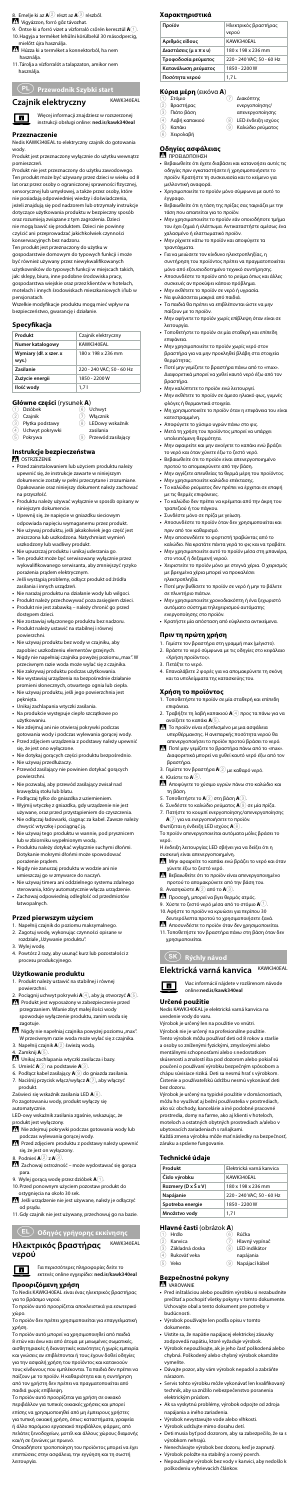#### **Χαρακτηριστικά**

| Προϊόν                 | Ηλεκτρικός βραστήρας<br>νερού |
|------------------------|-------------------------------|
| Αριθμός είδους         | KAWK340EAL                    |
| Διαστάσεις (μ x π x υ) | 180 x 198 x 236 mm            |
| Τροφοδοσία ρεύματος    | 220 - 240 VAC: 50 - 60 Hz     |
| Κατανάλωση ρεύματος    | 1850 - 2200 W                 |
| Ποσότητα νερού         | 1.7 L                         |

- 2 Βραστήρας
- 3 Πιάτο βάση
- 4 Λαβή καπακιού
- 5 Καπάκι
- 6 Χειρολαβή

ενεργοποίησης/ απενεργοποίησης 8 LED ένδειξη ισχύος 9 Καλώδιο ρεύματος

## **Κύρια μέρη** (εικόνα **Α**)<br>① Στόμιο *①* Διακόπτης

#### **Οδηγίες ασφάλειας** -ΠΡΟΕΙΔΟΠΟΙΗΣΗ

- **•** Βεβαιωθείτε ότι έχετε διαβάσει και κατανοήσει αυτές τις οδηγίες πριν εγκαταστήσετε ή χρησιμοποιήσετε το προϊόν. Κρατήστε τη συσκευασία και το κείμενο για μελλοντική αναφορά.
- **•** Χρησιμοποιείτε το προϊόν μόνο σύμφωνα με αυτό το έγγραφο.
- **•** Βεβαιωθείτε ότι η τάση της πρίζας σας ταιριάζει με την τάση που απαιτείται για το προϊόν.
- **•** Μην χρησιμοποιείτε το προϊόν εάν οποιοδήποτε τμήμα του έχει ζημιά ή ελάττωμα. Αντικαταστήστε αμέσως ένα χαλασμένο ή ελαττωματικό προϊόν.
- **•** Μην ρίχνετε κάτω το προϊόν και αποφύγετε τα τραντάγματα.
- **•** Για να μειώσετε τον κίνδυνο ηλεκτροπληξίας, η συντήρηση του προϊόντος πρέπει να πραγματοποιείται
- μόνο από εξουσιοδοτημένο τεχνικό συντήρησης. **•** Αποσυνδέστε το προϊόν από το ρεύμα όπως και άλλες
- συσκευές αν προκύψει κάποιο πρόβλημα. **•** Μην εκθέτετε το προϊόν σε νερό ή υγρασία.
- **•** Να φυλάσσεται μακριά από παιδιά.
- **•** Τα παιδιά θα πρέπει να επιβλέπονται ώστε να μην
- παίζουν με το προϊόν. **•** Μην αφήνετε το προϊόν χωρίς επίβλεψη όταν είναι σε λειτουργία.
- **•** Τοποθετήστε το προϊόν σε μία σταθερή και επίπεδη επιφάνεια.
- **•** Μην χρησιμοποιείτε το προϊόν χωρίς νερό στον βραστήρα για να μην προκληθεί βλάβη στα στοιχεία θερμότητας.
- **•** Ποτέ μην γεμίζετε το βραστήρα πάνω από το «max». Διαφορετικά μπορεί να χυθεί καυτό νερό έξω από τον βραστήρα.
- **•** Μην καλύπτετε το προϊόν ενώ λειτουργεί.
- **•** Μην εκθέτετε το προϊόν σε άμεσο ηλιακό φως, γυμνές φλόγες ή θερμαντικά στοιχεία.
- **•** Μη χρησιμοποιείτε το προϊόν όταν η επιφάνεια του είναι κατεστραμμένη.
- **•** Αποφύγετε το χύσιμο υγρών πάνω στο φις.
- **•** Μετά τη χρήση του προϊόντος μπορεί να υπάρχει υπολειπόμενη θερμότητα.
- **•** Μην αφαιρείτε και μην ανοίγετε το καπάκι ενώ βράζει το νερό και όταν χύνετε έξω το ζεστό νερό.
- **•** Βεβαιωθείτε ότι το προϊόν είναι απενεργοποιημένο προτού το απομακρύνετε από την βάση.
- **•** Μην αγγίζετε απευθείας τα θερμά μέρη του προϊόντος.
- **•** Μην χρησιμοποιείτε καλώδιο επέκτασης. **•** Το καλώδιο ρεύματος δεν πρέπει να έρχεται σε επαφή
- με τις θερμές επιφάνειες. **•** Το καλώδιο δεν πρέπει να κρέμεται από την άκρη του τραπεζιού ή του πάγκου.
- **•** Συνδέστε μόνο σε πρίζα με γείωση.
- **•** Αποσυνδέστε το προϊόν όταν δεν χρησιμοποιείται και πριν από τον καθαρισμό.
- **•** Μην αποσυνδέετε το φορτιστή τραβώντας από το
- καλώδιο. Να κρατάτε πάντα γερά το φις και να τραβάτε. **•** Μην χρησιμοποιείτε αυτό το προϊόν μέσα στη μπανιέρα,
- στο ντουζ ή δεξαμενή νερού. **•** Χειριστείτε το προϊόν μόνο με στεγνά χέρια. Ο χειρισμός με βρεγμένα χέρια μπορεί να προκαλέσει
- ηλεκτροπληξία. **•** Ποτέ μην βυθίσετε το προϊόν σε νερό ή μην το βάλετε σε πλυντήριο πιάτων.
- **•** Μην χρησιμοποιείτε χρονοδιακόπτη ή ένα ξεχωριστό αυτόματο σύστημα τηλεχειρισμού αυτόματης ενεργοποίησης στο προϊόν.
- **•** Κρατήστε μία απόσταση από εύφλεκτα αντικείμενα.

Το προϊόν απενεργοποιείται αυτόματα μόλις βράσει το νερό

- Hrdlo
	- Kanvica
- Základná doska
- $\overline{4}$  Rukoväť veka
- 5 Veko

#### **Πριν τη πρώτη χρήση**

- 1. Γεμίστε τον βραστήρα στη γραμμή max (μέγιστο). 2. Βράστε το νερό σύμφωνα με τις οδηγίες στο κεφάλαιο
- «Χρήση προϊόντος». 3. Πετάξτε το νερό.
- 
- 4. Επαναλάβετε 2 φορές για να απομακρύνετε τη σκόνη και τα υπολείμματα της κατασκεύης του.

#### **Χρήση το προϊόντος**

- 1. Τοποθετήστε το προϊόν σε μία σταθερή και επίπεδη επιφάνεια.
- 2. Τραβήξτε τη λαβή καπακιού **A**4 προς τα πάνω για να ανοίξετε το καπάκι **A**5.
- -Το προϊόν είναι εξοπλισμένο με μια ασφάλεια υπερθέρμανσης. Η ανεπαρκής ποσότητα νερού θα
- απενεργοποιήσει το προϊόν προτού βράσει το νερό. -Ποτέ μην γεμίζετε το βραστήρα πάνω από το «max». Διαφορετικά μπορεί να χυθεί καυτό νερό έξω από τον βραστήρα.

Vigyázzon, forró gőz távozhat. 9. Öntse ki a forró vizet a vízforraló csőrén keresztül **A**1.

-Αποφύγετε το χύσιμο υγρών πάνω στο καλώδιο και

- τη βάση.
- 5. Τοποθετήστε το **A**2 στη βάση **A**3.
- 6. Συνδέστε το καλώδιο ρεύματος **A**9 σε μία πρίζα. 7. Πατήστε το κουμπί ενεργοποίησης/απενεργοποίησης **A**7 για να ενεργοποιήσετε το προϊόν.
- Φωτίζεται η ένδειξη LED ισχύος **A**8 .

- Η ένδειξη λειτουργίας LED σβήνει για να δείξει ότι η συσκευή είναι απενεργοποιημένη.
- -Μην αφαιρείτε το καπάκι ενώ βράζει το νερό και όταν
- χύνετε έξω το ζεστό νερό. -Βεβαιωθείτε ότι το προϊόν είναι απενεργοποιημένο προτού το απομακρύνετε από την βάση του.
- 8. Ανασηκώστε **A**2 από το **A**3.
- -Προσοχή, μπορεί να βγει θερμός ατμός.
- 9. Χύστε το ζεστό νερό μέσα από το στόμιο **A**1. 10.Αφήστε το προϊόν να κρυώσει για περίπου 30
- δευτερόλεπτα προτού το χρησιμοποιήσετε ξανά. -Αποσυνδέστε το προϊόν όταν δεν χρησιμοποιείται.
- 11.Τοποθετήστε τον βραστήρα πάνω στη βάση όταν δεν χρησιμοποιείται.

#### **Instrukcje bezpieczeństwa !** OSTRZEŻENIE

## 1 **Rýchly návod**

**Elektrická varná kanvica** KAWK340EAL

 $\blacksquare$ 

Viac informácií nájdete v rozšírenom návode

online:**ned.is/kawk340eal**

#### **Určené použitie**

Nedis KAWK340EAL je elektrická varná kanvica na uvedenie vody do varu.

Výrobok je určený len na použitie vo vnútri.

Výrobok nie je určený na profesionálne použitie. Tento výrobok môžu používať deti od 8 rokov a staršie a osoby so zníženými fyzickými, zmyslovými alebo mentálnymi schopnosťami alebo s nedostatkom skúseností a znalostí iba pod dozorom alebo pokiaľ sú poučení o používaní výrobku bezpečným spôsobom a chápu súvisiace riziká. Deti sa nesmú hrať s výrobkom.

Čistenie a používateľskú údržbu nesmú vykonávať deti bez dozoru. Výrobok je určený na typické použitie v domácnostiach,

môžu ho využívať aj bežní používatelia v prostrediach, ako sú: obchody, kancelárie a iné podobné pracovné prostredia, domy na farme, ako aj klienti v hoteloch, moteloch a ostatných obytných prostrediach a/alebo v ubytovacích zariadeniach s raňajkami.

Každá zmena výrobku môže mať následky na bezpečnosť, záruku a správne fungovanie.

#### **Technické údaje**

| Produkt             | Elektrická varná kanvica  |
|---------------------|---------------------------|
| Číslo výrobku       | KAWK340EAL                |
| Rozmery (D x Š x V) | 180 x 198 x 236 mm        |
| Napájanie           | 220 - 240 VAC: 50 - 60 Hz |
| Spotreba energie    | 1850 - 2200 W             |
| Množstvo vody       | 1.71                      |

#### **Hlavné časti** (obrázok **A**)

6 Rúčka 7 Hlavný vypínač 8 LED indikátor

- napájania
- 9 Napájací kábel

#### **Bezpečnostné pokyny**

#### **WAROVANIE**

- **•** Pred inštaláciou alebo použitím výrobku si nezabudnite prečítať a pochopiť všetky pokyny v tomto dokumente. Uchovajte obal a tento dokument pre potreby v budúcnosti.
- **•** Výrobok používajte len podľa opisu v tomto dokumente.
- **•** Uistite sa, že napätie napájacej elektrickej zásuvky zodpovedá napätiu, ktoré vyžaduje výrobok.
- **•** Výrobok nepoužívajte, ak je jeho časť poškodená alebo chybná. Poškodený alebo chybný výrobok okamžite vymeňte.
- **•** Dávajte pozor, aby vám výrobok nepadol a zabráňte nárazom.
- **•** Servis tohto výrobku môže vykonávať len kvalifikovaný technik, aby sa znížilo nebezpečenstvo poranenia elektrickým prúdom.
- **•** Ak sa vyskytnú problémy, výrobok odpojte od zdroja napájania a iného zariadenia.
- **•** Výrobok nevystavujte vode alebo vlhkosti. **•** Výrobok udržujte mimo dosahu detí.
- 
- **•** Deti musia byť pod dozorom, aby sa zabezpečilo, že sa s výrobkom nehrajú.
- **•** Nenechávajte výrobok bez dozoru, keď je zapnutý.
- **•** Výrobok položte na stabilný a rovný povrch.
- **•** Nepoužívajte výrobok bez vody v kanvici, aby nedošlo k poškodeniu vyhrievacích článkov.

8. Emelje ki az **A**2 részt az **A**3 részből.

- 10.Hagyja a terméket lehűlni körülbelül 30 másodpercig, mielőtt újra használja.
- -Húzza ki a terméket a konnektorból, ha nem használja. 11.Tárolja a vízforralót a talapzaton, amikor nem
- 
- használja.

## n **Przewodnik Szybki start**

### **Czajnik elektryczny** KAWK340EAL



Więcej informacji znajdziesz w rozszerzonej instrukcji obsługi online: **ned.is/kawk340eal**

#### **Przeznaczenie**

Nedis KAWK340EAL to elektryczny czajnik do gotowania wody.

Produkt jest przeznaczony wyłącznie do użytku wewnątrz pomieszczeń.

- 3. Γεμίστε τον βραστήρα **A**2 με καθαρό νερό. 4. Κλείστε το **A**5.
- **•** Podłączaj tylko do gniazdka z uziemieniem.
- **•** Wyjmij wtyczkę z gniazdka, gdy urządzenie nie jest
- używane, oraz przed przystąpieniem do czyszczenia. **•** Nie odłączaj ładowarki, ciągnąc za kabel. Zawsze należy chwycić wtyczkę i pociągnąć ją.
- **•** Nie używaj tego produktu w wannie, pod prysznicem lub w zbiorniku wypełnionym wodą.
- **•** Produktu należy dotykać wyłącznie suchymi dłońmi. Dotykanie mokrymi dłońmi może spowodować porażenie prądem.
- **•** Nigdy nie zanurzaj produktu w wodzie ani nie umieszczaj go w zmywarce do naczyń.
- **•** Nie używaj timera ani oddzielnego systemu zdalnego sterowania, który automatycznie włącza urządzenie.
- **•** Zachowaj odpowiednią odległość od przedmiotów łatwopalnych.

Produkt nie jest przeznaczony do użytku zawodowego. Ten produkt może być używany przez dzieci w wieku od 8 lat oraz przez osoby o ograniczonej sprawności fizycznej, sensorycznej lub umysłowej, a także przez osoby, które nie posiadają odpowiedniej wiedzy i doświadczenia, jeżeli znajdują się pod nadzorem lub otrzymały instrukcje dotyczące użytkowania produktu w bezpieczny sposób oraz rozumieją związane z tym zagrożenia. Dzieci nie mogą bawić się produktem. Dzieci nie powinny czyścić ani przeprowadzać jakichkolwiek czynności konserwacyjnych bez nadzoru.

Ten produkt jest przeznaczony do użytku w

gospodarstwie domowym do typowych funkcji i może

być również używany przez niewykwalifikowanych użytkowników do typowych funkcji w miejscach takich, jak: sklepy, biura, inne podobne środowiska pracy, gospodarstwa wiejskie oraz przez klientów w hotelach, motelach i innych środowiskach mieszkaniowych i/lub w pensjonatach.

Wszelkie modyfikacje produktu mogą mieć wpływ na bezpieczeństwo, gwarancję i działanie.

#### **Specyfikacja**

| Produkt                         | Czajnik elektryczny       |
|---------------------------------|---------------------------|
| Numer katalogowy                | KAWK340EAL                |
| Wymiary (dł. x szer. x<br>wys.) | 180 x 198 x 236 mm        |
| Zasilanie                       | 220 - 240 VAC: 50 - 60 Hz |
| Zużycie energii                 | 1850 - 2200 W             |
| Ilość wody                      | 1.71                      |
|                                 |                           |

### **Główne części** (rysunek **A**)

| <b>SHOWILE CESSCH (I YOUTER M)</b> |                        |               |                                 |
|------------------------------------|------------------------|---------------|---------------------------------|
| (1)                                | Dzióbek                | $\widehat{6}$ | Uchwyt                          |
| (2)                                | Czajnik                |               | Włacznik                        |
| (3)                                | Płytka podstawy        | (8)           | LEDowy wskaźnik                 |
| (4)                                | Uchwyt pokrywki        |               | zasilania                       |
| e,                                 | $D = 1, 2, 3, 4, 5, 6$ |               | Domestic 4 all and other to any |

- 5 Pokrywa
- 9 Przewód zasilający

- **•** Przed zainstalowaniem lub użyciem produktu należy upewnić się, że instrukcje zawarte w niniejszym dokumencie zostały w pełni przeczytane i zrozumiane. Opakowanie oraz niniejszy dokument należy zachować na przyszłość.
- **•** Produktu należy używać wyłącznie w sposób opisany w niniejszym dokumencie.
- **•** Upewnij się, że napięcie w gniazdku sieciowym odpowiada napięciu wymaganemu przez produkt.
- **•** Nie używaj produktu, jeśli jakakolwiek jego część jest zniszczona lub uszkodzona. Natychmiast wymień uszkodzony lub wadliwy produkt.
- **•** Nie upuszczaj produktu i unikaj uderzania go.
- **•** Ten produkt może być serwisowany wyłącznie przez wykwalifikowanego serwisanta, aby zmniejszyć ryzyko
- porażenia prądem elektrycznym. **•** Jeśli wystąpią problemy, odłącz produkt od źródła zasilania i innych urządzeń.
- **•** Nie narażaj produktu na działanie wody lub wilgoci. **•** Produkt należy przechowywać poza zasięgiem dzieci.
- **•** Produkt nie jest zabawką należy chronić go przed
- dostępem dzieci.
- **•** Nie zostawiaj włączonego produktu bez nadzoru. **•** Produkt należy ustawić na stabilnej i równej
- powierzchni.
- **•** Nie używaj produktu bez wody w czajniku, aby zapobiec uszkodzeniu elementów grzejnych.
- Nigdy nie napełniaj czajnika powyżej poziomu "max". W<br>przeciwnym razie woda może wylać się z czajnika.
- **•** Nie zakrywaj produktu podczas użytkowania. **•** Nie wystawiaj urządzenia na bezpośrednie działanie
- promieni słonecznych, otwartego ognia lub ciepła. **•** Nie używaj produktu, jeśli jego powierzchnia jest
- pęknięta. **•** Unikaj zachlapania wtyczki zasilania.
- **•** Na produkcie występuje ciepło szczątkowe po użytkowaniu.
- **•** Nie zdejmuj ani nie otwieraj pokrywki podczas
- gotowania wody i podczas wylewania gorącej wody. **•** Przed zdjęciem urządzenia z podstawy należy upewnić się, że jest ono wyłączone.
- **•** Nie dotykaj gorących części produktu bezpośrednio. **•** Nie używaj przedłużaczy.
- **•** Przewód zasilający nie powinien dotykać gorących powierzchni.
- **•** Nie pozwalaj, aby przewód zasilający zwisał nad krawędzią stołu lub blatu.

#### **Przed pierwszym użyciem**

- 1. Napełnij czajnik do poziomu maksymalnego.
- 2. Zagotuj wodę, wykonując czynności opisane w rozdziale "Używanie produktu".
- 3. Wylej wodę.
- 4. Powtórz 2 razy, aby usunąć kurz lub pozostałości z procesu produkcyjnego.

#### **Użytkowanie produktu**

- 1. Produkt należy ustawić na stabilnej i równej powierzchni.
- 2. Pociągnij uchwyt pokrywki **A**4, aby ją otworzyć **A**5. -Produkt jest wyposażony w zabezpieczenie przed przegrzaniem. Wlanie zbyt małej ilości wody spowoduje wyłączenie produktu, zanim woda się
- zagotuje. Nigdy nie napełniaj czajnika powyżej poziomu "max".
- W przeciwnym razie woda może wylać się z czajnika. 3. Napełnij czajnik **A**2 świeżą wodą.
- 4. Zamknij **A**5.
- -Unikaj zachlapania wtyczki zasilacza i bazy.
- 5. Umieść **A**2 na podstawie **A**3.
- 6. Podłącz kabel zasilający **A**9 do gniazda zasilania. 7. Naciśnij przycisk włącz/wyłącz **A**7, aby włączyć
- produkt.
- Zaświeci się wskaźnik zasilania LED **A**8. Po zagotowaniu wody, produkt wyłączy się
- automatycznie. LED-owy wskaźnik zasilania zgaśnie, wskazując, że
- produkt jest wyłączony.<br>ZNNie zdejmuj pokrywki podczas gotowania wody lub
- podczas wylewania gorącej wody. Przed zdjęciem produktu z podstawy należy upewnić
- się, że jest on wyłączony. 8. Podnieś **A**2 z **A**3.
- 
- -Zachowaj ostrożność może wydostawać się gorąca para.
- 9. Wylej gorącą wodę przez dzióbek **A**1.
- 10.Przed ponownym użyciem pozostaw produkt do ostygnięcia na około 30 sek.
- 1. Jeśli urządzenie nie jest używane, należy je odłączyć od prądu.
- 11.Gdy czajnik nie jest używany, przechowuj go na bazie.

x **Οδηγός γρήγορης εκκίνησης**

#### **Ηλεκτρικός βραστήρας νερού**



KAWK340EAL

Για περισσότερες πληροφορίες δείτε το εκτενές online εγχειρίδιο: **ned.is/kawk340eal**

#### **Προοριζόμενη χρήση**

Το Nedis KAWK340EAL είναι ένας ηλεκτρικός βραστήρας για το βράσιμο νερού.

Το προϊόν αυτό προορίζεται αποκλειστικά για εσωτερικό χώρο. Το προϊόν δεν πρέπει χρησιμοποιείται για επαγγελματική

χρήση.

Το προϊόν αυτό μπορεί να χρησιμοποιηθεί από παιδιά 8 ετών και άνω και από άτομα με μειωμένες σωματικές, αισθητηριακές ή διανοητικές ικανότητες ή χωρίς εμπειρία και γνώσεις αν επιβλέπονται ή τους έχουν δοθεί οδηγίες για την ασφαλή χρήση του προϊόντος και κατανοούν τους κίνδυνους που εμπλέκονται. Τα παιδιά δεν πρέπει να παίζουν με το προϊόν. Η καθαριότητα και η συντήρηση από τον χρήστη δεν πρέπει να πραγματοποιείται από παιδιά χωρίς επίβλεψη.

Το προϊόν αυτό προορίζεται για χρήση σε οικιακό περιβάλλον για τυπικές οικιακές χρήσεις και μπορεί επίσης να χρησιμοποιηθεί από μη έμπειρους χρήστες για τυπική οικιακή χρήση, όπως: καταστήματα, γραφεία ή άλλo παρόμοιο εργασιακό περιβάλλον, φάρμες, από πελάτες ξενοδοχείων, μοτέλ και άλλους χώρους διαμονής και/ή σε ξενώνες με πρωινό. Οποιαδήποτε τροποποίηση του προϊόντος μπορεί να έχει

επιπτώσεις στην ασφάλεια, την εγγύηση και τη σωστή λειτουργία.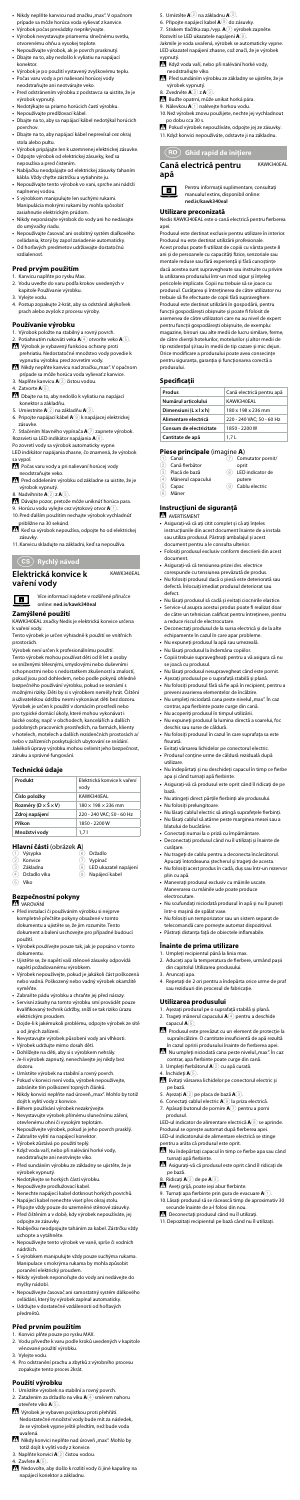- 5. Umístěte **A**2 na základnu **A**3.
- 6. Připojte napájecí kabel **A**9 do zásuvky. 7. Stiskem tlačítka zap./vyp. **A**7 výrobek zapněte.
- Rozsvítí se LED ukazatele napájení **A**8.

Jakmile je voda uvařená, výrobek se automaticky vypne. LED ukazatel napájení zhasne, což značí, že je výrobek

- vypnutý.<br><u>ZN</u> Když voda vaří, nebo při nalévání horké vody, neodstraňujte víko.
- Před sundáním výrobku ze základny se ujistěte, že je výrobek vypnutý.
- 8. Zvedněte **A**2 z **A**3.
- Buďte opatrní, může unikat horká pára.
- 9. Nálevkou **A** $\textcircled{\textsc{i}}$  nalévejte horkou vodu
- 10.Než výrobek znovu použijete, nechte jej vychladnout po dobu cca 30 s. -Pokud výrobek nepoužíváte, odpojte jej ze zásuvky.
- 11.Když konvici nepoužíváte, odstavte ji na základnu.

y **Ghid rapid de inițiere**

**Cană electrică pentru**  KAWK340EAL



**apă**

Pentru informații suplimentare, consultați manualul extins, disponibil online:

#### **ned.is/kawk340eal Utilizare preconizată**

Nedis KAWK340EAL este o cană electrică pentru fierberea apei.

#### **Instrucțiuni de siguranță** N AVERTISMENT

Produsul este destinat exclusiv pentru utilizare în interior. Produsul nu este destinat utilizării profesionale. Acest produs poate fi utilizat de copiii cu vârsta peste 8 ani și de persoanele cu capacități fizice, senzoriale sau mentale reduse sau fără experiență și fără cunoștințe dacă acestea sunt supravegheate sau instruite cu privire la utilizarea produsului într-un mod sigur și înțeleg pericolele implicate. Copii nu trebuie să se joace cu produsul. Curățarea și întreținerea de către utilizator nu trebuie să fie efectuate de copii fără supraveghere. Produsul este destinat utilizării în gospodării, pentru funcții gospodărești obișnuite și poate fi folosit de asemenea de către utilizatori care nu au nivel de expert pentru funcții gospodărești obișnuite, de exemplu: magazine, birouri sau alte medii de lucru similare, ferme, de către clienții hotelurilor, motelurilor și altor medii de tip rezidențial și/sau în medii de tip cazare și mic dejun. Orice modificare a produsului poate avea consecințe pentru siguranța, garanția și funcționarea corectă a produsului.

#### **Specificaţii**

| Produs                  | Cană electrică pentru apă |
|-------------------------|---------------------------|
| Numărul articolului     | KAWK340EAL                |
| Dimensiuni (L x l x h)  | 180 x 198 x 236 mm        |
| Alimentare electrică    | 220 - 240 VAC; 50 - 60 Hz |
| Consum de electricitate | 1850 - 2200 W             |
| Cantitate de apă        | 1.7L                      |

#### **Piese principale** (imagine **A**)

- Canal 2 Cană fierbător 7 Comutator pornit/ oprit
- 3 Placă de bază 8 LED indicator de
- 4 Mânerul capacului putere 9 Cablu electric
- Capac  $(6)$  Mâner

- **•** Asigurați-vă că ați citit complet și că ați înțeles instrucțiunile din acest document înainte de a instala
- sau utiliza produsul. Păstrați ambalajul și acest document pentru a le consulta ulterior.
- **•** Folosiți produsul exclusiv conform descrierii din acest document.
- **•** Asigurați-vă că tensiunea prizei dvs. electrice
- corespunde cu tensiunea prevăzută de produs. **•** Nu folosiți produsul dacă o piesă este deteriorată sau defectă. Înlocuiți imediat produsul deteriorat sau defect.
- **•** Nu lăsați produsul să cadă și evitați ciocnirile elastice.
- **•** Service-ul asupra acestui produs poate fi realizat doar de către un tehnician calificat pentru întreținere, pentru a reduce riscul de electrocutare.
- **•** Deconectați produsul de la sursa electrică și de la alte echipamente în cazul în care apar probleme.
- **•** Nu expuneți produsul la apă sau umezeală.
- **•** Nu lăsați produsul la îndemâna copiilor. **•** Copiii trebuie supravegheați pentru a vă asigura că nu se joacă cu produsul.
- **•** Nu lăsaţi produsul nesupravegheat când este pornit.
- **•** Așezați produsul pe o suprafață stabilă și plană. **•** Nu folosiți produsul fără să fie apă în recipient, pentru a preveni avarierea elementelor de încălzire.
- **Nu umpleți niciodată cana peste nivelul "max". În caz** contrar, apa fierbinte poate curge din cană.
- **•** Nu acoperiți produsul în timpul utilizării.
- **•** Nu expuneți produsul la lumina directă a soarelui, foc deschis sau surse de căldură.
- **•** Nu folosiți produsul în cazul în care suprafața sa este fisurată.
- **•** Evitați vărsarea lichidelor pe conectorul electric.
- **•** Produsul conține urme de căldură reziduală după utilizare.
- **•** Nu îndepărtați și nu deschideți capacul în timp ce fierbe apa și când turnați apă fierbinte.
- **•** Asigurați-vă că produsul este oprit când îl ridicați de pe bază.
- Nikdy neplňte kanvicu nad značku "max". V opačnom prípade sa môže horúca voda vylievať z kanvice.
- **•** Výrobok počas prevádzky neprikrývajte. **•** Výrobok nevystavujte priamemu slnečnému svetlu, otvorenému ohňu a vysokej teplote.
- **•** Nepoužívajte výrobok, ak je povrch prasknutý. **•** Dbajte na to, aby nedošlo k vyliatiu na napájací
- konektor. **•** Výrobok je po použití vystavený zvyškovému teplu. **•** Počas varu vody a pri nalievaní horúcej vody
- neodstraňujte ani neotvárajte veko. **•** Pred odstránením výrobku z podstavca sa uistite, že je
- výrobok vypnutý. **•** Nedotýkajte sa priamo horúcich častí výrobku.
- **•** Nepoužívajte predlžovací kábel.
- **•** Dbajte na to, aby sa napájací kábel nedotýkal horúcich povrchov.
- **•** Dbajte na to, aby napájací kábel neprevísal cez okraj stola alebo pultu.
- **•** Výrobok pripájajte len k uzemnenej elektrickej zásuvke. **•** Odpojte výrobok od elektrickej zásuvky, keď sa
- nepoužíva a pred čistením. **•** Nabíjačku neodpájajte od elektrickej zásuvky ťahaním
- kábla. Vždy chyťte zástrčku a vytiahnite ju. **•** Nepoužívajte tento výrobok vo vani, sprche ani nádrži naplnenej vodou.
- **•** S výrobkom manipulujte len suchými rukami. Manipulácia mokrými rukami by mohla spôsobiť zasiahnutie elektrickým prúdom.
- **•** Nikdy neponárajte výrobok do vody ani ho nedávajte do umývačky riadu.
- **•** Nepoužívajte časovač ani osobitný systém diaľkového ovládania, ktorý by zapol zariadenie automaticky.
- **•** Od horľavých predmetov udržiavajte dostatočnú vzdialenosť.

- **•** Nu atingeți direct părțile fierbinți ale produsului.
- **•** Nu folosiți prelungitoare.
- **•** Nu lăsați cablul electric să atingă suprafețele fierbinți. **•** Nu lăsați cablul să atârne peste marginea mesei sau a blatului de bucătărie.
- **•** Conectați numai la o priză cu împământare.
- **•** Deconectați produsul când nu îl utilizați și înainte de curățare.
- **•** Nu trageți de cablu pentru a deconecta încărcătorul. Apucați întotdeauna ștecherul și trageți de acesta.
- **•** Nu folosiți acest produs în cadă, duș sau într-un rezervor plin cu apă.
- **•** Manevrați produsul exclusiv cu mâinile uscate. Manevrarea cu mâinile ude poate produce electrocutare.
- **•** Nu scufundați niciodată produsul în apă și nu îl puneți într-o mașină de spălat vase.
- **•** Nu folosiți un temporizator sau un sistem separat de
- telecomandă care pornește automat dispozitivul. **•** Păstrați distanța față de obiectele inflamabile.

### **Înainte de prima utilizare**

- 1. Umpleți recipientul până la linia max. 2. Aduceți apa la temperatura de fierbere, urmând pașii
- din capitolul Utilizarea produsului.
- 3. Aruncați apa.
- 4. Repetați de 2 ori pentru a îndepărta orice urme de praf sau reziduuri din procesul de fabricație.

#### **Utilizarea produsului**

- 1. Așezați produsul pe o suprafață stabilă și plană.
- 2. Trageți mânerul capacului **A**4 pentru a deschide capacul **A**5.
- Produsul este prevăzut cu un element de protecție la supraîncălzire. O cantitate insuficientă de apă rezultă în cazul opririi produsului înainte de fierberea apei.
- Nu umpleți niciodată cana peste nivelul "max". În caz contrar, apa fierbinte poate curge din cană. 3. Umpleți fierbătorul **A**2 cu apă curată.
	-
- 4. Închideţi **A**5.
- -Evitați vărsarea lichidelor pe conectorul electric și pe bază.
- 5. Așezați **A**2 pe placa de bază **A**3.
- 6. Conectați cablul electric **A**9 la priza electrică. 7. Apăsați butonul de pornire **A**7 pentru a porni
- produsul. LED-ul indicator de alimentare electrică  $\mathbf{A}(\mathbf{8})$  se aprinde. Produsul se oprește automat după fierberea ape
- LED-ul indicatorului de alimentare electrică se stinge pentru a arăta că produsul este oprit.
- INU îndepărtați capacul în timp ce fierbe apa sau când turnați apă fierbinte.
- Asigurați-vă că produsul este oprit când îl ridicați de pe bază.
- 8. Ridicați **A**2 de pe **A**3.
- Aveți grijă, poate ieși abur fierbinte.
- 9. Turnați apa fierbinte prin gura de evacuare **A**1. 10.Lăsați produsul să se răcească timp de aproximativ 30
- secunde înainte de a-l folosi din nou.
- -Deconectați produsul când nu îl utilizați.
- 11.Depozitați recipientul pe bază când nu îl utilizați.

#### **Pred prvým použitím**

- 
- 1. Kanvicu naplňte po rysku Max. 2. Vodu uveďte do varu podľa krokov uvedených v kapitole Používanie výrobku.
- 3. Vylejte vodu.
- 4. Postup zopakujte 2-krát, aby sa odstránil akýkoľvek prach alebo zvyšok z procesu výroby.

#### **Používanie výrobku**

- 1. Výrobok položte na stabilný a rovný povrch.
- 2. Potiahnutím rukoväti veka **A**4 otvoríte veko **A**5. Výrobok je vybavený funkciou ochrany proti
- prehriatiu. Nedostatočné množstvo vody povedie k vypnutiu výrobku pred zovretím vody.<br>I Nikdy neplňte kanvicu nad značku "max". V opačnom
- prípade sa môže horúca voda vylievať z kanvice. 3. Naplňte kanvicu **A**2 čistou vodou.
- 4. Zatvorte **A**5.
- -Dbajte na to, aby nedošlo k vyliatiu na napájací konektor a základňu.
- 5. Umiestnite **A**2 na základňu **A**3.
- 6. Pripojte napájací kábel **A**9 k napájacej elektrickej zásuvke.
- 7. Stlačením hlavného vypínača **A**7 zapnete výrobok.
- Rozsvieti sa LED indikátor napájania **A**8.
- Po zovretí vody sa výrobok automaticky vypne. LED indikátor napájania zhasne, čo znamená, že výrobok a vypol.
- Počas varu vody a pri nalievaní horúcej vody neodstraňujte veko.
- Pred oddelením výrobku od základne sa uistite, že je
- výrobok vypnutý. 8. Nadvihnite **A**2 z **A**3.
- -Dávajte pozor, pretože môže uniknúť horúca para.
- 9. Horúcu vodu vylejte cez výtokový otvor **A**1. 10.Pred ďalším použitím nechajte výrobok vychladnúť
- približne na 30 sekúnd. Keď sa výrobok nepoužíva, odpojte ho od elektrickej zásuvky.
- 11.Kanvicu skladujte na základni, keď sa nepoužíva.

l **Rychlý návod**

### **Elektrická konvice k vaření vody**

KAWK340EAL

Více informací najdete v rozšířené příručce online: **ned.is/kawk340eal**

#### **Zamýšlené použití**

 $\Box$ 

KAWK340EAL značky Nedis je elektrická konvice určena k vaření vody.

Tento výrobek je určen výhradně k použití ve vnitřních prostorách.

Výrobek není určen k profesionálnímu použití. Tento výrobek mohou používat děti od 8 let a osoby se sníženými tělesnými, smyslovými nebo duševními schopnostmi nebo s nedostatkem zkušeností a znalostí, pokud jsou pod dohledem, nebo podle pokynů ohledně bezpečného používání výrobku, pokud se seznámí s možnými riziky. Děti by si s výrobkem neměly hrát. Čištění a uživatelskou údržbu nesmí vykonávat děti bez dozoru. Výrobek je určen k použití v domácím prostředí nebo pro typické domácí úkoly, které mohou vykonávat i laické osoby, např. v obchodech, kancelářích a dalších podobných pracovních prostředích, na farmách, klienty v hotelech, motelech a dalších rezidenčních prostorách a/

nebo v zařízeních poskytujících ubytování se snídání. Jakékoli úpravy výrobku mohou ovlivnit jeho bezpečnost, záruku a správné fungování.

#### **Technické údaje**

| Produkt | Elektrická konvice k vaření |
|---------|-----------------------------|
|         | vodv                        |

| Číslo položky                             | KAWK340EAL                     |
|-------------------------------------------|--------------------------------|
| Rozměry ( $D \times \check{S} \times V$ ) | $180 \times 198 \times 236$ mm |
| Zdroj napájení                            | 220 - 240 VAC: 50 - 60 Hz      |
| Příkon                                    | 1850 - 2200 W                  |
| Množství vody                             | 1.71                           |

#### **Hlavní části** (obrázek **A**)

|     | $(1)$ Výsypka | 6)  | Držadlo               |
|-----|---------------|-----|-----------------------|
| (2) | Konvice       |     | Vypínač               |
|     | 3 Základna    | (8) | LED ukazatel napájení |
| (4) | Držadlo víka  | (9) | Napájecí kabel        |
| (5) | Víko          |     |                       |

### **Bezpečnostní pokyny**

**VAROVÁNÍ** 

- **•** Před instalací či používáním výrobku si nejprve kompletně přečtěte pokyny obsažené v tomto dokumentu a ujistěte se, že jim rozumíte. Tento dokument a balení uschovejte pro případné budoucí použití.
- **•** Výrobek používejte pouze tak, jak je popsáno v tomto dokumentu.
- **•** Ujistěte se, že napětí vaší stěnové zásuvky odpovídá napětí požadovanému výrobkem.
- **•** Výrobek nepoužívejte, pokud je jakákoli část poškozená nebo vadná. Poškozený nebo vadný výrobek okamžitě vyměňte.
- **•** Zabraňte pádu výrobku a chraňte jej před nárazy. **•** Servisní zásahy na tomto výrobku smí provádět pouze
- kvalifikovaný technik údržby, sníží se tak riziko úrazu
- elektrickým proudem. **•** Dojde-li k jakémukoli problému, odpojte výrobek ze sítě a od jiných zařízení.
- **•** Nevystavujte výrobek působení vody ani vlhkosti. **•** Výrobek udržujte mimo dosah dětí.
- 
- **•** Dohlížejte na děti, aby si s výrobkem nehrály.
- **•** Je-li výrobek zapnutý, nenechávejte jej nikdy bez dozoru.
- Umístěte výrobek na stabilní a rovný povre
- **•** Pokud v konvici není voda, výrobek nepoužívejte, zabráníte tím poškození topných článků.
- Nikdy konvici neplňte nad úroveň "max". Mohlo by totiž
- dojít k vylití vody z konvice. **•** Během používání výrobek nezakrývejte.
- **•** Nevystavujte výrobek přímému slunečnímu záření,
- otevřenému ohni či vysokým teplotám. **•** Nepoužívejte výrobek, pokud je jeho povrch prasklý.
- 
- **•** Zabraňte vylití na napájecí konektor.
- **•** Výrobek zůstává po použití teplý. **•** Když voda vaří, nebo při nalévání horké vody, neodstraňujte ani neotvírejte víko.
- **•** Před sundáním výrobku ze základny se ujistěte, že je výrobek vypnutý.
- **•** Nedotýkejte se horkých částí výrobku.
- **•** Nepoužívejte prodlužovací kabel.
- **•** Nenechte napájecí kabel dotknout horkých povrchů.
- **•** Napájecí kabel nenechte viset přes okraj stolu.
- **•** Připojte vždy pouze do uzemněné stěnové zásuvky. **•** Před čištěním a v době, kdy výrobek nepoužíváte, jej
- odpojte ze zásuvky. **•** Nabíječku neodpojujte taháním za kabel. Zástrčku vždy uchopte a vytáhněte.
- **•** Nepoužívejte tento výrobek ve vaně, sprše či vodních nádržích.
- **•** S výrobkem manipulujte vždy pouze suchýma rukama. Manipulace s mokrýma rukama by mohla způsobit
- poranění elektrický proudem. **•** Nikdy výrobek neponořujte do vody ani nedávejte do myčky nádobí.
- **•** Nepoužívejte časovač ani samostatný systém dálkového ovládání, který by výrobek zapínal automaticky.
- **•** Udržujte v dostatečné vzdálenosti od hořlavých předmětů.

#### **Před prvním použitím**

- 
- 1. Konvici plňte pouze po rysku MAX. 2. Vodu přiveďte k varu podle kroků uvedených v kapitole věnované použití výrobku.
- 3. Vylejte vodu.
- 4. Pro odstranění prachu a zbytků z výrobního procesu zopakujte tento proces 2krát.

#### **Použití výrobku**

- 1. Umístěte výrobek na stabilní a rovný povrch.
- 2. Zatažením za držadlo na víku **A**<sup>4</sup> směrem nahoru otevřete víko **A**5.
- -Výrobek je vybaven pojistkou proti přehřátí. Nedostatečné množství vody bude mít za následek, že se výrobek vypne ještě předtím, než bude voda uvařená.
- 19 Person.<br>19 Nikdy konvici neplňte nad úroveň "max". Mohlo by totiž dojít k vylití vody z konvice.
- 3. Naplňte konvici **A**2 čistou vodou.
- Zavřete **A**<sup>5</sup>
- Nedovolte, aby došlo k rozlití vody či jiné kapaliny na napájecí konektor a základnu.